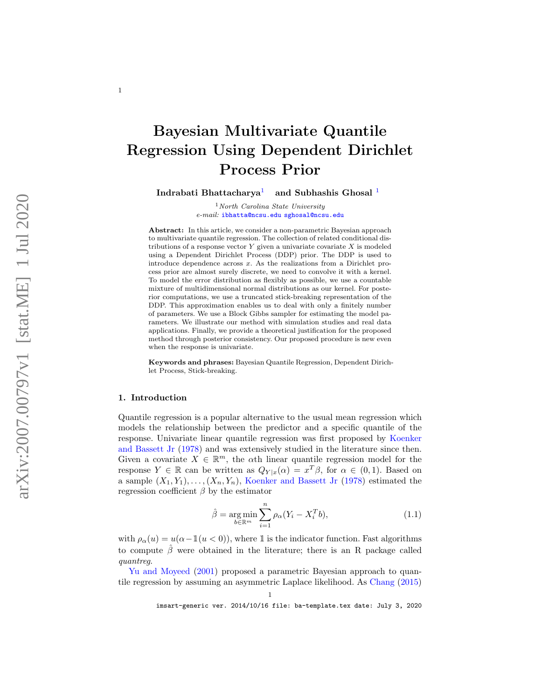# Bayesian Multivariate Quantile Regression Using Dependent Dirichlet Process Prior

Indrabati Bhattacharya <sup>[1](#page-0-0)</sup> and Subhashis Ghosal<sup>1</sup>

> <span id="page-0-0"></span> $1$ North Carolina State University e-mail: [ibhatta@ncsu.edu](mailto:ibhatta@ncsu.edu) [sghosal@ncsu.edu](mailto:sghosal@ncsu.edu)

Abstract: In this article, we consider a non-parametric Bayesian approach to multivariate quantile regression. The collection of related conditional distributions of a response vector  $Y$  given a univariate covariate  $X$  is modeled using a Dependent Dirichlet Process (DDP) prior. The DDP is used to introduce dependence across x. As the realizations from a Dirichlet process prior are almost surely discrete, we need to convolve it with a kernel. To model the error distribution as flexibly as possible, we use a countable mixture of multidimensional normal distributions as our kernel. For posterior computations, we use a truncated stick-breaking representation of the DDP. This approximation enables us to deal with only a finitely number of parameters. We use a Block Gibbs sampler for estimating the model parameters. We illustrate our method with simulation studies and real data applications. Finally, we provide a theoretical justification for the proposed method through posterior consistency. Our proposed procedure is new even when the response is univariate.

Keywords and phrases: Bayesian Quantile Regression, Dependent Dirichlet Process, Stick-breaking.

#### 1. Introduction

<span id="page-0-1"></span>1

Quantile regression is a popular alternative to the usual mean regression which models the relationship between the predictor and a specific quantile of the response. Univariate linear quantile regression was first proposed by [Koenker](#page-26-0) [and Bassett Jr](#page-26-0) [\(1978\)](#page-26-0) and was extensively studied in the literature since then. Given a covariate  $X \in \mathbb{R}^m$ , the oth linear quantile regression model for the response  $Y \in \mathbb{R}$  can be written as  $Q_{Y|x}(\alpha) = x^T \beta$ , for  $\alpha \in (0,1)$ . Based on a sample  $(X_1, Y_1), \ldots, (X_n, Y_n)$ , [Koenker and Bassett Jr](#page-26-0) [\(1978\)](#page-26-0) estimated the regression coefficient  $\beta$  by the estimator

$$
\hat{\beta} = \underset{b \in \mathbb{R}^m}{\arg \min} \sum_{i=1}^n \rho_\alpha (Y_i - X_i^T b), \tag{1.1}
$$

with  $\rho_{\alpha}(u) = u(\alpha - \mathbb{1}(u < 0)),$  where  $\mathbb{1}$  is the indicator function. Fast algorithms to compute  $\hat{\beta}$  were obtained in the literature; there is an R package called quantreg .

[Yu and Moyeed](#page-27-0) [\(2001\)](#page-27-0) proposed a parametric Bayesian approach to quantile regression by assuming an asymmetric Laplace likelihood. As [Chang](#page-26-1) [\(2015\)](#page-26-1)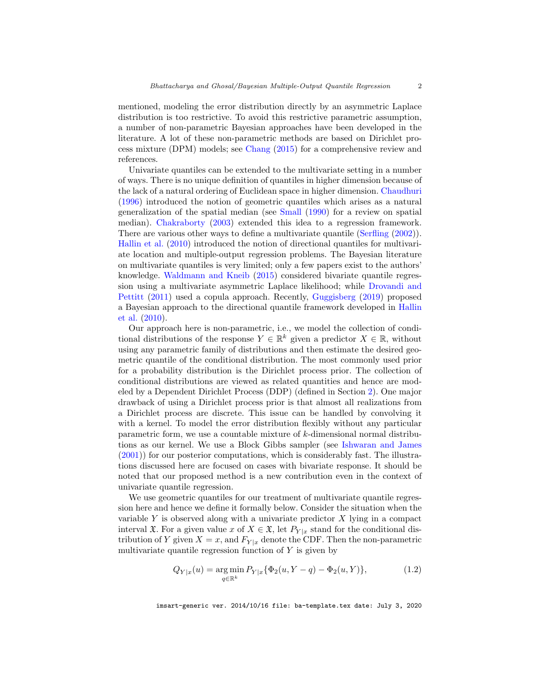<span id="page-1-0"></span>mentioned, modeling the error distribution directly by an asymmetric Laplace distribution is too restrictive. To avoid this restrictive parametric assumption, a number of non-parametric Bayesian approaches have been developed in the literature. A lot of these non-parametric methods are based on Dirichlet process mixture (DPM) models; see [Chang](#page-26-1) [\(2015\)](#page-26-1) for a comprehensive review and references.

Univariate quantiles can be extended to the multivariate setting in a number of ways. There is no unique definition of quantiles in higher dimension because of the lack of a natural ordering of Euclidean space in higher dimension. [Chaudhuri](#page-26-2) [\(1996\)](#page-26-2) introduced the notion of geometric quantiles which arises as a natural generalization of the spatial median (see [Small](#page-27-1) [\(1990\)](#page-27-1) for a review on spatial median). [Chakraborty](#page-26-3) [\(2003\)](#page-26-3) extended this idea to a regression framework. There are various other ways to define a multivariate quantile [\(Serfling](#page-27-2)  $(2002)$ ). [Hallin et al.](#page-26-4) [\(2010\)](#page-26-4) introduced the notion of directional quantiles for multivariate location and multiple-output regression problems. The Bayesian literature on multivariate quantiles is very limited; only a few papers exist to the authors' knowledge. [Waldmann and Kneib](#page-27-3) [\(2015\)](#page-27-3) considered bivariate quantile regression using a multivariate asymmetric Laplace likelihood; while [Drovandi and](#page-26-5) [Pettitt](#page-26-5) [\(2011\)](#page-26-5) used a copula approach. Recently, [Guggisberg](#page-26-6) [\(2019\)](#page-26-6) proposed a Bayesian approach to the directional quantile framework developed in [Hallin](#page-26-4) [et al.](#page-26-4) [\(2010\)](#page-26-4).

Our approach here is non-parametric, i.e., we model the collection of conditional distributions of the response  $Y \in \mathbb{R}^k$  given a predictor  $X \in \mathbb{R}$ , without using any parametric family of distributions and then estimate the desired geometric quantile of the conditional distribution. The most commonly used prior for a probability distribution is the Dirichlet process prior. The collection of conditional distributions are viewed as related quantities and hence are modeled by a Dependent Dirichlet Process (DDP) (defined in Section [2\)](#page-2-0). One major drawback of using a Dirichlet process prior is that almost all realizations from a Dirichlet process are discrete. This issue can be handled by convolving it with a kernel. To model the error distribution flexibly without any particular parametric form, we use a countable mixture of k-dimensional normal distributions as our kernel. We use a Block Gibbs sampler (see [Ishwaran and James](#page-26-7) [\(2001\)](#page-26-7)) for our posterior computations, which is considerably fast. The illustrations discussed here are focused on cases with bivariate response. It should be noted that our proposed method is a new contribution even in the context of univariate quantile regression.

We use geometric quantiles for our treatment of multivariate quantile regression here and hence we define it formally below. Consider the situation when the variable  $Y$  is observed along with a univariate predictor  $X$  lying in a compact interval  $\mathfrak{X}$ . For a given value x of  $X \in \mathfrak{X}$ , let  $P_{Y|x}$  stand for the conditional distribution of Y given  $X = x$ , and  $F_{Y|x}$  denote the CDF. Then the non-parametric multivariate quantile regression function of  $Y$  is given by

$$
Q_{Y|x}(u) = \underset{q \in \mathbb{R}^k}{\arg \min} P_{Y|x} \{ \Phi_2(u, Y - q) - \Phi_2(u, Y) \},\tag{1.2}
$$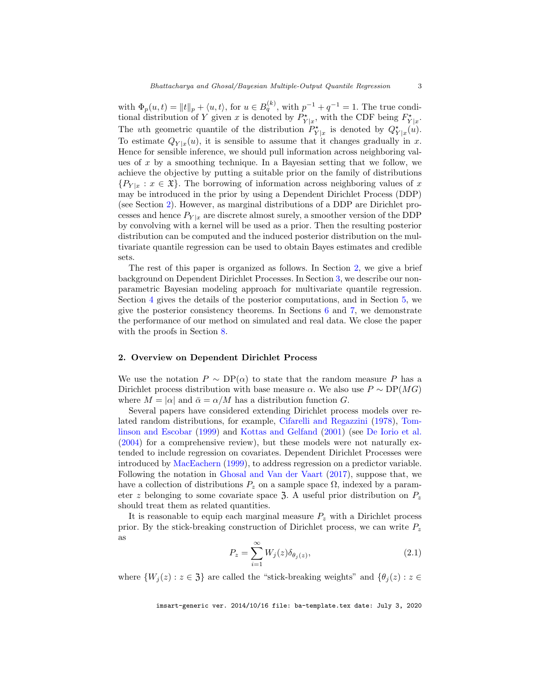<span id="page-2-1"></span>with  $\Phi_p(u,t) = ||t||_p + \langle u, t \rangle$ , for  $u \in B_q^{(k)}$ , with  $p^{-1} + q^{-1} = 1$ . The true conditional distribution of Y given x is denoted by  $P_{Y|x}^*$ , with the CDF being  $F_{Y|x}^*$ . The uth geometric quantile of the distribution  $P_{Y|x}^{\star}$  is denoted by  $Q_{Y|x}^{\star}(u)$ . To estimate  $Q_{Y|x}(u)$ , it is sensible to assume that it changes gradually in x. Hence for sensible inference, we should pull information across neighboring values of  $x$  by a smoothing technique. In a Bayesian setting that we follow, we achieve the objective by putting a suitable prior on the family of distributions  ${P_Y}_{|x}: x \in \mathfrak{X}$ . The borrowing of information across neighboring values of x may be introduced in the prior by using a Dependent Dirichlet Process (DDP) (see Section [2\)](#page-2-0). However, as marginal distributions of a DDP are Dirichlet processes and hence  $P_{Y|x}$  are discrete almost surely, a smoother version of the DDP by convolving with a kernel will be used as a prior. Then the resulting posterior distribution can be computed and the induced posterior distribution on the multivariate quantile regression can be used to obtain Bayes estimates and credible sets.

The rest of this paper is organized as follows. In Section [2,](#page-2-0) we give a brief background on Dependent Dirichlet Processes. In Section [3,](#page-3-0) we describe our nonparametric Bayesian modeling approach for multivariate quantile regression. Section [4](#page-5-0) gives the details of the posterior computations, and in Section [5,](#page-10-0) we give the posterior consistency theorems. In Sections [6](#page-12-0) and [7,](#page-14-0) we demonstrate the performance of our method on simulated and real data. We close the paper with the proofs in Section [8.](#page-15-0)

#### <span id="page-2-0"></span>2. Overview on Dependent Dirichlet Process

We use the notation  $P \sim DP(\alpha)$  to state that the random measure P has a Dirichlet process distribution with base measure  $\alpha$ . We also use  $P \sim DP(MG)$ where  $M = |\alpha|$  and  $\bar{\alpha} = \alpha/M$  has a distribution function G.

Several papers have considered extending Dirichlet process models over related random distributions, for example, [Cifarelli and Regazzini](#page-26-8) [\(1978\)](#page-26-8), [Tom](#page-27-4)[linson and Escobar](#page-27-4) [\(1999\)](#page-27-4) and [Kottas and Gelfand](#page-26-9) [\(2001\)](#page-26-9) (see [De Iorio et al.](#page-26-10) [\(2004\)](#page-26-10) for a comprehensive review), but these models were not naturally extended to include regression on covariates. Dependent Dirichlet Processes were introduced by [MacEachern](#page-27-5) [\(1999\)](#page-27-5), to address regression on a predictor variable. Following the notation in [Ghosal and Van der Vaart](#page-26-11) [\(2017\)](#page-26-11), suppose that, we have a collection of distributions  $P_z$  on a sample space  $\Omega$ , indexed by a parameter z belonging to some covariate space 3. A useful prior distribution on  $P_z$ should treat them as related quantities.

It is reasonable to equip each marginal measure  $P<sub>z</sub>$  with a Dirichlet process prior. By the stick-breaking construction of Dirichlet process, we can write  $P_z$ as

$$
P_z = \sum_{i=1}^{\infty} W_j(z) \delta_{\theta_j(z)},
$$
\n(2.1)

where  $\{W_j(z): z \in \mathfrak{Z}\}\$ are called the "stick-breaking weights" and  $\{\theta_j(z): z \in \mathfrak{Z}\}\$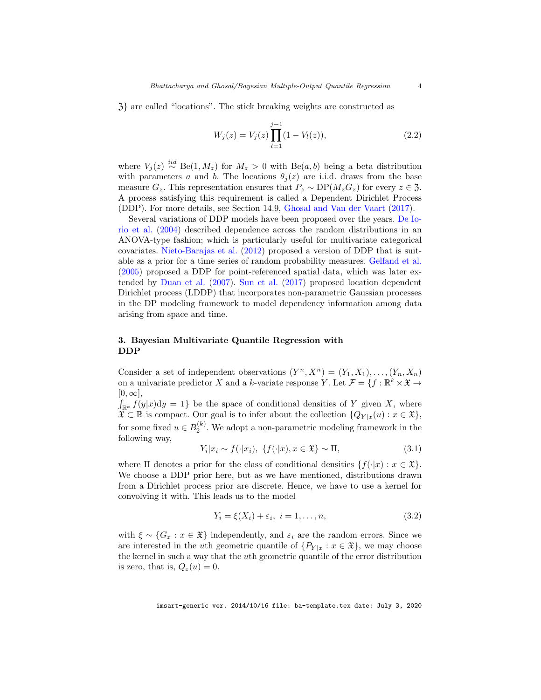<span id="page-3-1"></span>Z} are called "locations". The stick breaking weights are constructed as

$$
W_j(z) = V_j(z) \prod_{l=1}^{j-1} (1 - V_l(z)),
$$
\n(2.2)

where  $V_j(z) \stackrel{iid}{\sim} \text{Be}(1, M_z)$  for  $M_z > 0$  with  $\text{Be}(a, b)$  being a beta distribution with parameters a and b. The locations  $\theta_i(z)$  are i.i.d. draws from the base measure  $G_z$ . This representation ensures that  $P_z \sim DP(M_zG_z)$  for every  $z \in \mathfrak{Z}$ . A process satisfying this requirement is called a Dependent Dirichlet Process (DDP). For more details, see Section 14.9, [Ghosal and Van der Vaart](#page-26-11) [\(2017\)](#page-26-11).

Several variations of DDP models have been proposed over the years. [De Io](#page-26-10)[rio et al.](#page-26-10) [\(2004\)](#page-26-10) described dependence across the random distributions in an ANOVA-type fashion; which is particularly useful for multivariate categorical covariates. [Nieto-Barajas et al.](#page-27-6) [\(2012\)](#page-27-6) proposed a version of DDP that is suitable as a prior for a time series of random probability measures. [Gelfand et al.](#page-26-12) [\(2005\)](#page-26-12) proposed a DDP for point-referenced spatial data, which was later extended by [Duan et al.](#page-26-13) [\(2007\)](#page-26-13). [Sun et al.](#page-27-7) [\(2017\)](#page-27-7) proposed location dependent Dirichlet process (LDDP) that incorporates non-parametric Gaussian processes in the DP modeling framework to model dependency information among data arising from space and time.

## <span id="page-3-0"></span>3. Bayesian Multivariate Quantile Regression with DDP

Consider a set of independent observations  $(Y^n, X^n) = (Y_1, X_1), \ldots, (Y_n, X_n)$ on a univariate predictor X and a k-variate response Y. Let  $\mathcal{F} = \{f : \mathbb{R}^k \times \mathfrak{X} \to \mathbb{R}^k\}$  $[0, \infty],$ 

 $\int_{\mathbb{R}^k} f(y|x) dy = 1$  be the space of conditional densities of Y given X, where  $\mathfrak{X} \subset \mathbb{R}$  is compact. Our goal is to infer about the collection  $\{Q_{Y|x}(u) : x \in \mathfrak{X}\},$ for some fixed  $u \in B_2^{(k)}$ . We adopt a non-parametric modeling framework in the following way,

$$
Y_i | x_i \sim f(\cdot | x_i), \{ f(\cdot | x), x \in \mathfrak{X} \} \sim \Pi,\tag{3.1}
$$

where  $\Pi$  denotes a prior for the class of conditional densities  $\{f(|x): x \in \mathfrak{X}\}\.$ We choose a DDP prior here, but as we have mentioned, distributions drawn from a Dirichlet process prior are discrete. Hence, we have to use a kernel for convolving it with. This leads us to the model

$$
Y_i = \xi(X_i) + \varepsilon_i, \quad i = 1, \dots, n,\tag{3.2}
$$

with  $\xi \sim \{G_x : x \in \mathfrak{X}\}\$ independently, and  $\varepsilon_i$  are the random errors. Since we are interested in the uth geometric quantile of  $\{P_{Y|x} : x \in \mathfrak{X}\}\)$ , we may choose the kernel in such a way that the uth geometric quantile of the error distribution is zero, that is,  $Q_{\varepsilon}(u)=0$ .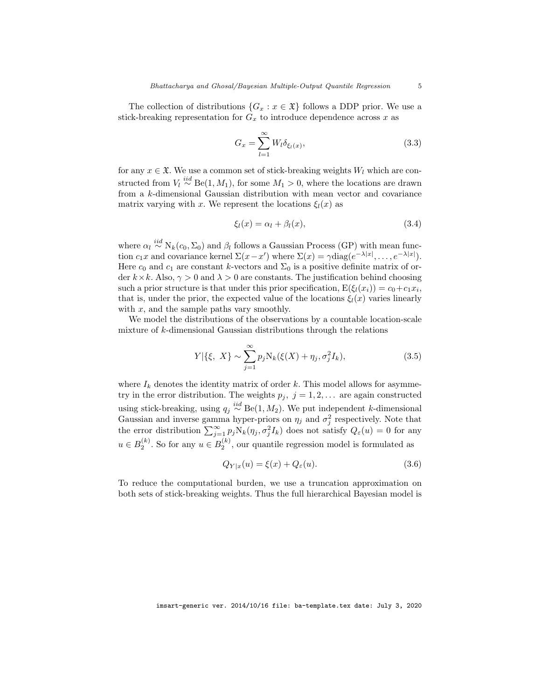The collection of distributions  $\{G_x : x \in \mathfrak{X}\}\)$  follows a DDP prior. We use a stick-breaking representation for  $G_x$  to introduce dependence across x as

$$
G_x = \sum_{l=1}^{\infty} W_l \delta_{\xi_l(x)},
$$
\n(3.3)

for any  $x \in \mathfrak{X}$ . We use a common set of stick-breaking weights  $W_l$  which are constructed from  $V_l \stackrel{iid}{\sim} \text{Be}(1, M_1)$ , for some  $M_1 > 0$ , where the locations are drawn from a k-dimensional Gaussian distribution with mean vector and covariance matrix varying with x. We represent the locations  $\xi_l(x)$  as

$$
\xi_l(x) = \alpha_l + \beta_l(x),\tag{3.4}
$$

where  $\alpha_l \stackrel{iid}{\sim} N_k(c_0, \Sigma_0)$  and  $\beta_l$  follows a Gaussian Process (GP) with mean function  $c_1x$  and covariance kernel  $\Sigma(x-x')$  where  $\Sigma(x) = \gamma \text{diag}(e^{-\lambda|x|}, \dots, e^{-\lambda|x|}).$ Here  $c_0$  and  $c_1$  are constant k-vectors and  $\Sigma_0$  is a positive definite matrix of order  $k \times k$ . Also,  $\gamma > 0$  and  $\lambda > 0$  are constants. The justification behind choosing such a prior structure is that under this prior specification,  $E(\xi_l(x_i)) = c_0 + c_1x_i$ , that is, under the prior, the expected value of the locations  $\xi_l(x)$  varies linearly with  $x$ , and the sample paths vary smoothly.

We model the distributions of the observations by a countable location-scale mixture of k-dimensional Gaussian distributions through the relations

$$
Y|\{\xi, X\} \sim \sum_{j=1}^{\infty} p_j N_k(\xi(X) + \eta_j, \sigma_j^2 I_k), \tag{3.5}
$$

where  $I_k$  denotes the identity matrix of order  $k$ . This model allows for asymmetry in the error distribution. The weights  $p_j$ ,  $j = 1, 2, \ldots$  are again constructed using stick-breaking, using  $q_j \stackrel{iid}{\sim} \text{Be}(1, M_2)$ . We put independent k-dimensional Gaussian and inverse gamma hyper-priors on  $\eta_j$  and  $\sigma_j^2$  respectively. Note that the error distribution  $\sum_{j=1}^{\infty} p_j N_k(\eta_j, \sigma_j^2 I_k)$  does not satisfy  $Q_{\varepsilon}(u) = 0$  for any  $u \in B_2^{(k)}$ . So for any  $u \in B_2^{(k)}$ , our quantile regression model is formulated as

$$
Q_{Y|x}(u) = \xi(x) + Q_{\varepsilon}(u). \tag{3.6}
$$

To reduce the computational burden, we use a truncation approximation on both sets of stick-breaking weights. Thus the full hierarchical Bayesian model is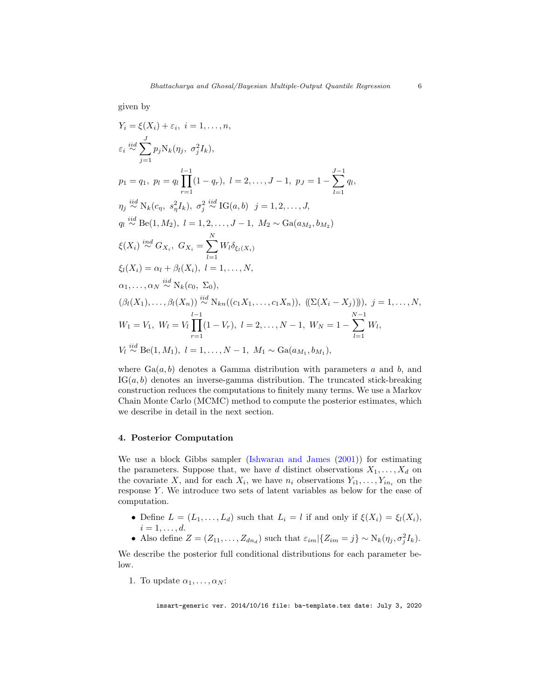<span id="page-5-1"></span>given by

$$
Y_i = \xi(X_i) + \varepsilon_i, \ i = 1, ..., n,
$$
  
\n
$$
\varepsilon_i \stackrel{iid}{\sim} \sum_{j=1}^J p_j N_k(\eta_j, \sigma_j^2 I_k),
$$
  
\n
$$
p_1 = q_1, \ p_l = q_l \prod_{r=1}^{l-1} (1 - q_r), \ l = 2, ..., J - 1, \ p_J = 1 - \sum_{l=1}^{J-1} q_l,
$$
  
\n
$$
\eta_j \stackrel{iid}{\sim} N_k(c_{\eta}, s_{\eta}^2 I_k), \ \sigma_j^2 \stackrel{iid}{\sim} IG(a, b) \ j = 1, 2, ..., J,
$$
  
\n
$$
q_l \stackrel{iid}{\sim} \text{Be}(1, M_2), \ l = 1, 2, ..., J - 1, \ M_2 \sim \text{Ga}(a_{M_2}, b_{M_2})
$$
  
\n
$$
\xi(X_i) \stackrel{iid}{\sim} G_{X_i}, \ G_{X_i} = \sum_{l=1}^N W_l \delta_{\xi_l(X_i)}
$$
  
\n
$$
\xi_l(X_i) = \alpha_l + \beta_l(X_i), \ l = 1, ..., N,
$$
  
\n
$$
\alpha_1, ..., \alpha_N \stackrel{iid}{\sim} N_k(c_0, \Sigma_0),
$$
  
\n
$$
(\beta_l(X_1), ..., \beta_l(X_n)) \stackrel{iid}{\sim} N_{kn}((c_1 X_1, ..., c_1 X_n)), ((\Sigma(X_i - X_j))))), \ j = 1, ..., N,
$$
  
\n
$$
W_1 = V_1, \ W_l = V_l \prod_{r=1}^{l-1} (1 - V_r), \ l = 2, ..., N - 1, \ W_N = 1 - \sum_{l=1}^{N-1} W_l,
$$
  
\n
$$
V_l \stackrel{iid}{\sim} \text{Be}(1, M_1), \ l = 1, ..., N - 1, \ M_1 \sim \text{Ga}(a_{M_1}, b_{M_1}),
$$

where  $Ga(a, b)$  denotes a Gamma distribution with parameters a and b, and  $IG(a, b)$  denotes an inverse-gamma distribution. The truncated stick-breaking construction reduces the computations to finitely many terms. We use a Markov Chain Monte Carlo (MCMC) method to compute the posterior estimates, which we describe in detail in the next section.

#### <span id="page-5-0"></span>4. Posterior Computation

We use a block Gibbs sampler [\(Ishwaran and James](#page-26-7) [\(2001\)](#page-26-7)) for estimating the parameters. Suppose that, we have d distinct observations  $X_1, \ldots, X_d$  on the covariate X, and for each  $X_i$ , we have  $n_i$  observations  $Y_{i1}, \ldots, Y_{in_i}$  on the response Y. We introduce two sets of latent variables as below for the ease of computation.

- Define  $L = (L_1, \ldots, L_d)$  such that  $L_i = l$  if and only if  $\xi(X_i) = \xi_l(X_i)$ ,  $i=1,\ldots,d.$
- Also define  $Z = (Z_{11}, \ldots, Z_{dn_d})$  such that  $\varepsilon_{im} | \{Z_{im} = j\} \sim N_k(\eta_j, \sigma_j^2 I_k)$ .

We describe the posterior full conditional distributions for each parameter below.

1. To update  $\alpha_1, \ldots, \alpha_N$ :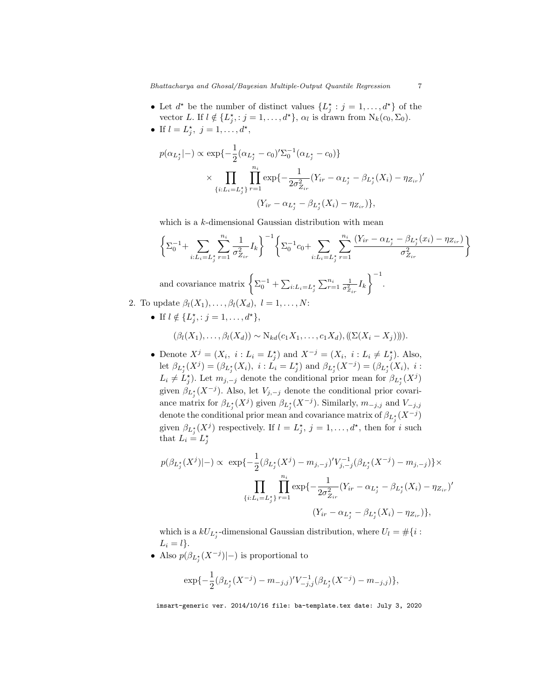- Let  $d^*$  be the number of distinct values  $\{L_j^* : j = 1, \ldots, d^*\}$  of the vector L. If  $l \notin \{L_j^{\star} : j = 1, ..., d^{\star}\}, \alpha_l$  is drawn from  $N_k(c_0, \Sigma_0)$ .
- If  $l = L_j^*$ ,  $j = 1, ..., d^*$ ,

$$
p(\alpha_{L_j^*}|-) \propto \exp\{-\frac{1}{2}(\alpha_{L_j^*} - c_0)'\Sigma_0^{-1}(\alpha_{L_j^*} - c_0)\}\times \prod_{\{i:L_i = L_j^*\}} \prod_{r=1}^{n_i} \exp\{-\frac{1}{2\sigma_{Z_{ir}}^2}(Y_{ir} - \alpha_{L_j^*} - \beta_{L_j^*}(X_i) - \eta_{Z_{ir}})\times (Y_{ir} - \alpha_{L_j^*} - \beta_{L_j^*}(X_i) - \eta_{Z_{ir}})\},\
$$

which is a  $k$ -dimensional Gaussian distribution with mean

$$
\left\{\Sigma_{0}^{-1}+\sum_{i:L_{i}=L_{j}^{*}}\sum_{r=1}^{n_{i}}\frac{1}{\sigma_{Z_{ir}}^{2}}I_{k}\right\}^{-1}\left\{\Sigma_{0}^{-1}c_{0}+\sum_{i:L_{i}=L_{j}^{*}}\sum_{r=1}^{n_{i}}\frac{(Y_{ir}-\alpha_{L_{j}^{*}}-\beta_{L_{j}^{*}}(x_{i})-\eta_{Z_{ir}})}{\sigma_{Z_{ir}}^{2}}\right\}
$$
\nand covariance matrix  $\left\{\Sigma_{0}^{-1}+\sum_{i:L_{i}=L_{j}^{*}}\sum_{r=1}^{n_{i}}\frac{1}{\sigma_{Z_{ir}}^{2}}I_{k}\right\}^{-1}$ .  
\n2. To update  $\beta_{l}(X_{1}),\ldots,\beta_{l}(X_{d}), l=1,\ldots,N$ :

• If  $l \notin \{L_j^{\star} : j = 1, ..., d^{\star}\},\$ 

$$
(\beta_l(X_1),\ldots,\beta_l(X_d)) \sim N_{kd}(c_1X_1,\ldots,c_1X_d), (\big(\Sigma(X_i-X_j)\big))).
$$

• Denote  $X^j = (X_i, i : L_i = L_j^*)$  and  $X^{-j} = (X_i, i : L_i \neq L_j^*)$ . Also, let  $\beta_{L_j^*}(X^j) = (\beta_{L_j^*}(X_i), i : L_i = L_j^*)$  and  $\beta_{L_j^*}(X^{-j}) = (\beta_{L_j^*}(X_i), i : L_j = L_j^*)$  $L_i \neq L_j^{\star}$ ). Let  $m_{j,-j}$  denote the conditional prior mean for  $\beta_{L_j^{\star}}(X^j)$ given  $\beta_{L_j^*}(X^{-j})$ . Also, let  $V_{j,-j}$  denote the conditional prior covariance matrix for  $\beta_{L_j^*}(X^j)$  given  $\beta_{L_j^*}(X^{-j})$ . Similarly,  $m_{-j,j}$  and  $V_{-j,j}$ denote the conditional prior mean and covariance matrix of  $\beta_{L_j^*}(X^{-j})$ given  $\beta_{L_j^*}(X^j)$  respectively. If  $l = L_j^*$ ,  $j = 1, ..., d^*$ , then for i such that  $L_i = L_j^*$ 

$$
p(\beta_{L_j^*}(X^j)|-) \propto \exp\{-\frac{1}{2}(\beta_{L_j^*}(X^j) - m_{j,-j})'V_{j,-j}^{-1}(\beta_{L_j^*}(X^{-j}) - m_{j,-j})\}\times \prod_{\{i:L_i=L_j^*\}} \prod_{r=1}^{n_i} \exp\{-\frac{1}{2\sigma_{Z_{ir}}^2}(Y_{ir} - \alpha_{L_j^*} - \beta_{L_j^*}(X_i) - \eta_{Z_{ir}})'\} (Y_{ir} - \alpha_{L_j^*} - \beta_{L_j^*}(X_i) - \eta_{Z_{ir}})\},
$$

which is a  $kU_{L_j^*}$ -dimensional Gaussian distribution, where  $U_l = \#\{i :$  $L_i = l$ .

• Also  $p(\beta_{L_j^*}(X^{-j})|-)$  is proportional to

$$
\exp\{-\frac{1}{2}(\beta_{L_j^*}(X^{-j}) - m_{-j,j})'V_{-j,j}^{-1}(\beta_{L_j^*}(X^{-j}) - m_{-j,j})\},\
$$

imsart-generic ver. 2014/10/16 file: ba-template.tex date: July 3, 2020

 $\overline{a}$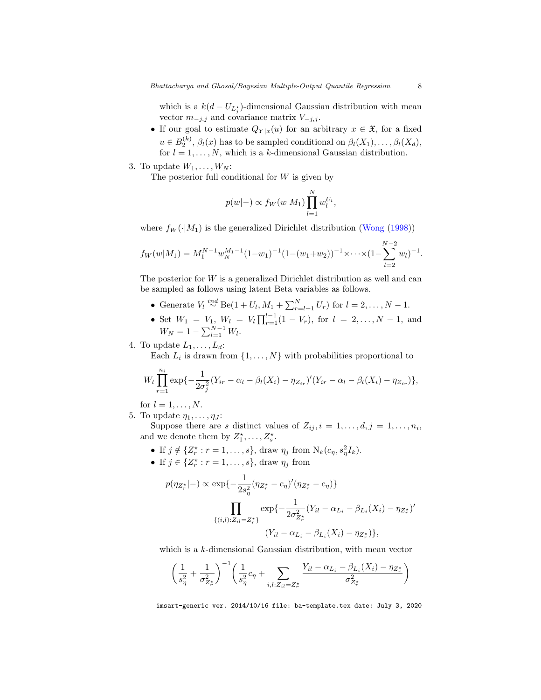<span id="page-7-0"></span>which is a  $k(d-U_{L_j^*})$ -dimensional Gaussian distribution with mean vector  $m_{-j,j}$  and covariance matrix  $V_{-j,j}$ .

- If our goal to estimate  $Q_{Y|x}(u)$  for an arbitrary  $x \in \mathfrak{X}$ , for a fixed  $u \in B_2^{(k)}$ ,  $\beta_l(x)$  has to be sampled conditional on  $\beta_l(X_1), \ldots, \beta_l(X_d)$ , for  $l = 1, ..., N$ , which is a k-dimensional Gaussian distribution.
- 3. To update  $W_1, \ldots, W_N$ :

The posterior full conditional for  $W$  is given by

$$
p(w|-) \propto f_W(w|M_1) \prod_{l=1}^N w_l^{U_l},
$$

where  $f_W(\cdot|M_1)$  is the generalized Dirichlet distribution [\(Wong](#page-27-8) [\(1998\)](#page-27-8))

$$
f_W(w|M_1) = M_1^{N-1} w_N^{M_1-1} (1-w_1)^{-1} (1-(w_1+w_2))^{-1} \times \cdots \times (1-\sum_{l=2}^{N-2} w_l)^{-1}.
$$

The posterior for  $W$  is a generalized Dirichlet distribution as well and can be sampled as follows using latent Beta variables as follows.

- Generate  $V_l \stackrel{ind}{\sim} \text{Be}(1 + U_l, M_1 + \sum_{r=l+1}^{N} U_r)$  for  $l = 2, ..., N 1$ .
- Set  $W_1 = V_1, W_l = V_l \prod_{r=1}^{l-1} (1 V_r),$  for  $l = 2, ..., N-1$ , and  $W_N = 1 - \sum_{l=1}^{N-1} W_l.$
- 4. To update  $L_1, \ldots, L_d$ :

Each  $L_i$  is drawn from  $\{1, \ldots, N\}$  with probabilities proportional to

$$
W_l \prod_{r=1}^{n_i} \exp\{-\frac{1}{2\sigma_j^2}(Y_{ir} - \alpha_l - \beta_l(X_i) - \eta_{Z_{ir}})'(Y_{ir} - \alpha_l - \beta_l(X_i) - \eta_{Z_{ir}})\},\
$$

for  $l = 1, \ldots, N$ .

5. To update  $\eta_1, \ldots, \eta_J$ :

Suppose there are s distinct values of  $Z_{ij}, i = 1, \ldots, d, j = 1, \ldots, n_i$ , and we denote them by  $Z_1^{\star}, \ldots, Z_s^{\star}$ .

- If  $j \notin \{Z_r^* : r = 1, ..., s\}$ , draw  $\eta_j$  from  $N_k(c_\eta, s_\eta^2 I_k)$ .
- If  $j \in \{Z_r^* : r = 1, \ldots, s\}$ , draw  $\eta_j$  from

$$
p(\eta_{Z_r^*}|-) \propto \exp\{-\frac{1}{2s_\eta^2}(\eta_{Z_r^*}-c_\eta)'(\eta_{Z_r^*}-c_\eta)\}\
$$

$$
\prod_{\{(i,l): Z_{il}=Z_r^*\}} \exp\{-\frac{1}{2\sigma_{Z_r^*}^2}(Y_{il}-\alpha_{L_i}-\beta_{L_i}(X_i)-\eta_{Z_r^*})'\}
$$

$$
(Y_{il}-\alpha_{L_i}-\beta_{L_i}(X_i)-\eta_{Z_r^*})\},
$$

which is a k-dimensional Gaussian distribution, with mean vector

$$
\left(\frac{1}{s_{\eta}^2} + \frac{1}{\sigma_{Z_{r}}^2}\right)^{-1} \left(\frac{1}{s_{\eta}^2}c_{\eta} + \sum_{i,l: Z_{il} = Z_{r}^*} \frac{Y_{il} - \alpha_{L_i} - \beta_{L_i}(X_i) - \eta_{Z_{r}^*}}{\sigma_{Z_{r}^*}^2}\right)
$$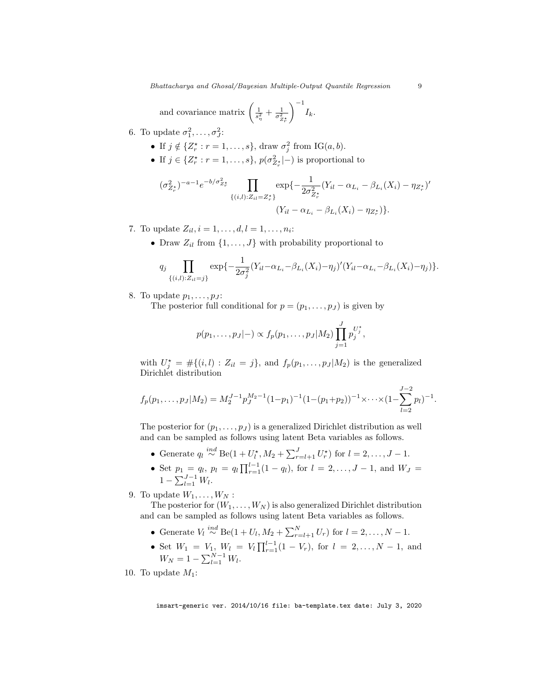and covariance matrix 
$$
\left(\frac{1}{s_{\eta}^2} + \frac{1}{\sigma_{Z_r^*}^2}\right)^{-1} I_k
$$
.

- 6. To update  $\sigma_1^2, \ldots, \sigma_J^2$ :
	- If  $j \notin \{Z_r^* : r = 1, \ldots, s\}$ , draw  $\sigma_j^2$  from IG $(a, b)$ .
	- If  $j \in \{Z_r^* : r = 1, \ldots, s\}$ ,  $p(\sigma_{Z_r^*}^2 | -)$  is proportional to

$$
(\sigma_{Z_r^*}^2)^{-a-1} e^{-b/\sigma_{Z_r^*}^2} \prod_{\{(i,l): Z_{il}=Z_r^*\}} \exp\{-\frac{1}{2\sigma_{Z_r^*}^2} (Y_{il} - \alpha_{L_i} - \beta_{L_i}(X_i) - \eta_{Z_r^*})' \right. \\
\left. (Y_{il} - \alpha_{L_i} - \beta_{L_i}(X_i) - \eta_{Z_r^*}) \right\}.
$$

- 7. To update  $Z_{il}$ ,  $i = 1, ..., d$ ,  $l = 1, ..., n_i$ :
	- Draw  $Z_{il}$  from  $\{1, \ldots, J\}$  with probability proportional to

$$
q_j \prod_{\{(i,l):Z_{il}=j\}} \exp\{-\frac{1}{2\sigma_j^2} (Y_{il} - \alpha_{L_i} - \beta_{L_i}(X_i) - \eta_j)'(Y_{il} - \alpha_{L_i} - \beta_{L_i}(X_i) - \eta_j)\}.
$$

8. To update  $p_1, \ldots, p_J$ :

The posterior full conditional for  $p = (p_1, \ldots, p_J)$  is given by

$$
p(p_1,...,p_J|-) \propto f_p(p_1,...,p_J|M_2) \prod_{j=1}^J p_j^{U_j^*},
$$

with  $U_j^* = #\{(i, l) : Z_{il} = j\}$ , and  $f_p(p_1, \ldots, p_J | M_2)$  is the generalized Dirichlet distribution

$$
f_p(p_1,\ldots,p_J|M_2) = M_2^{J-1} p_J^{M_2-1} (1-p_1)^{-1} (1-(p_1+p_2))^{-1} \times \cdots \times (1-\sum_{l=2}^{J-2} p_l)^{-1}.
$$

The posterior for  $(p_1, \ldots, p_J)$  is a generalized Dirichlet distribution as well and can be sampled as follows using latent Beta variables as follows.

- Generate  $q_l \stackrel{ind}{\sim} \text{Be}(1+U_l^{\star}, M_2+\sum_{r=l+1}^J U_r^{\star})$  for  $l=2,\ldots,J-1$ .
- Set  $p_1 = q_l$ ,  $p_l = q_l \prod_{r=1}^{l-1} (1 q_l)$ , for  $l = 2, ..., J-1$ , and  $W_J =$  $1 - \sum_{l=1}^{J-1} W_l$ .
- 9. To update  $W_1, \ldots, W_N$ :
	- The posterior for  $(W_1, \ldots, W_N)$  is also generalized Dirichlet distribution and can be sampled as follows using latent Beta variables as follows.
		- Generate  $V_l \stackrel{ind}{\sim} \text{Be}(1 + U_l, M_2 + \sum_{r=l+1}^{N} U_r)$  for  $l = 2, ..., N 1$ .
		- Set  $W_1 = V_1, W_l = V_l \prod_{r=1}^{l-1} (1 V_r),$  for  $l = 2, ..., N-1$ , and  $W_N = 1 - \sum_{l=1}^{N-1} W_l.$
- 10. To update  $M_1$ :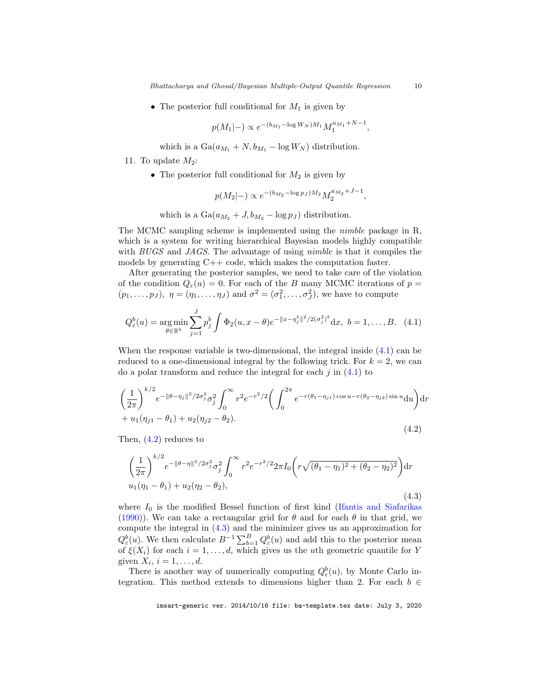<span id="page-9-3"></span>• The posterior full conditional for  $M_1$  is given by

$$
p(M_1|-) \propto e^{-(b_{M_1} - \log W_N)M_1} M_1^{a_{M_1} + N - 1},
$$

which is a  $Ga(a_{M_1} + N, b_{M_1} - log W_N)$  distribution.

11. To update  $M_2$ :

• The posterior full conditional for  $M_2$  is given by

$$
p(M_2|-) \propto e^{-(b_{M_2} - \log p_J)M_2} M_2^{a_{M_2}+J-1},
$$

which is a  $Ga(a_{M_2} + J, b_{M_2} - \log p_J)$  distribution.

The MCMC sampling scheme is implemented using the nimble package in R, which is a system for writing hierarchical Bayesian models highly compatible with BUGS and JAGS. The advantage of using *nimble* is that it compiles the models by generating C++ code, which makes the computation faster.

After generating the posterior samples, we need to take care of the violation of the condition  $Q_{\varepsilon}(u) = 0$ . For each of the B many MCMC iterations of  $p =$  $(p_1, \ldots, p_J)$ ,  $\eta = (\eta_1, \ldots, \eta_J)$  and  $\sigma^2 = (\sigma_1^2, \ldots, \sigma_J^2)$ , we have to compute

<span id="page-9-0"></span>
$$
Q_{\varepsilon}^{b}(u) = \underset{\theta \in \mathbb{R}^{k}}{\arg \min} \sum_{j=1}^{J} p_{j}^{b} \int \Phi_{2}(u, x - \theta) e^{-\|x - \eta_{j}^{b}\|^{2} / 2(\sigma_{j}^{2})^{b}} dx, \ b = 1, ..., B. \quad (4.1)
$$

When the response variable is two-dimensional, the integral inside [\(4.1\)](#page-9-0) can be reduced to a one-dimensional integral by the following trick. For  $k = 2$ , we can do a polar transform and reduce the integral for each  $j$  in  $(4.1)$  to

<span id="page-9-1"></span>
$$
\left(\frac{1}{2\pi}\right)^{k/2} e^{-\|\theta-\eta_j\|^2/2\sigma_j^2} \sigma_j^2 \int_0^\infty r^2 e^{-r^2/2} \left(\int_0^{2\pi} e^{-r(\theta_1-\eta_{j1})\cos u - r(\theta_2-\eta_{j2})\sin u} du\right) dr
$$
  
+  $u_1(\eta_{j1} - \theta_1) + u_2(\eta_{j2} - \theta_2).$  (4.2)

Then, [\(4.2\)](#page-9-1) reduces to

<span id="page-9-2"></span>
$$
\left(\frac{1}{2\pi}\right)^{k/2} e^{-\|\theta-\eta\|^2/2\sigma_j^2} \sigma_j^2 \int_0^\infty r^2 e^{-r^2/2} 2\pi I_0 \left(r\sqrt{(\theta_1-\eta_1)^2+(\theta_2-\eta_2)^2}\right) dr
$$
  
 
$$
u_1(\eta_1-\theta_1) + u_2(\eta_2-\theta_2),
$$
 (4.3)

where  $I_0$  is the modified Bessel function of first kind [\(Ifantis and Siafarikas](#page-26-14) [\(1990\)](#page-26-14)). We can take a rectangular grid for  $\theta$  and for each  $\theta$  in that grid, we compute the integral in [\(4.3\)](#page-9-2) and the minimizer gives us an approximation for  $Q_{\varepsilon}^{b}(u)$ . We then calculate  $B^{-1}\sum_{b=1}^{B}Q_{\varepsilon}^{b}(u)$  and add this to the posterior mean of  $\xi(X_i)$  for each  $i = 1, \ldots, d$ , which gives us the uth geometric quantile for Y given  $X_i$ ,  $i = 1, \ldots, d$ .

There is another way of numerically computing  $Q_{\epsilon}^{b}(u)$ , by Monte Carlo integration. This method extends to dimensions higher than 2. For each  $b \in$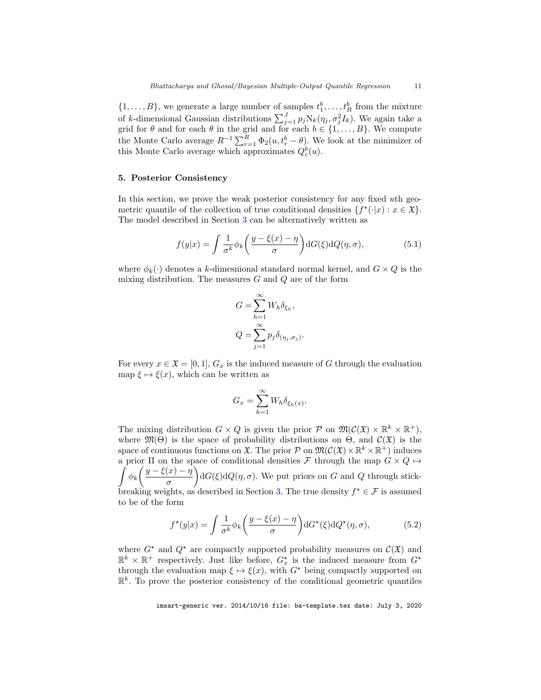$\{1, \ldots, B\}$ , we generate a large number of samples  $t_1^b, \ldots, t_R^b$  from the mixture of k-dimensional Gaussian distributions  $\sum_{j=1}^{J} p_j N_k(\eta_j, \sigma_j^2 I_k)$ . We again take a grid for  $\theta$  and for each  $\theta$  in the grid and for each  $b \in \{1, \ldots, B\}$ . We compute the Monte Carlo average  $R^{-1} \sum_{r=1}^{R} \Phi_2(u, t_r^b - \theta)$ . We look at the minimizer of this Monte Carlo average which approximates  $Q_{\varepsilon}^{b}(u)$ .

### <span id="page-10-0"></span>5. Posterior Consistency

In this section, we prove the weak posterior consistency for any fixed uth geometric quantile of the collection of true conditional densities  $\{f^*(\cdot|x) : x \in \mathfrak{X}\}.$ The model described in Section [3](#page-3-0) can be alternatively written as

$$
f(y|x) = \int \frac{1}{\sigma^k} \phi_k \left( \frac{y - \xi(x) - \eta}{\sigma} \right) dG(\xi) dQ(\eta, \sigma), \tag{5.1}
$$

where  $\phi_k(\cdot)$  denotes a k-dimesnional standard normal kernel, and  $G \times Q$  is the mixing distribution. The measures  $G$  and  $Q$  are of the form

$$
G = \sum_{h=1}^{\infty} W_h \delta_{\xi_h},
$$
  

$$
Q = \sum_{j=1}^{\infty} p_j \delta_{(\eta_j, \sigma_j)}.
$$

For every  $x \in \mathfrak{X} = [0, 1], G_x$  is the induced measure of G through the evaluation map  $\xi \mapsto \xi(x)$ , which can be written as

$$
G_x = \sum_{h=1}^{\infty} W_h \delta_{\xi_h(x)}.
$$

The mixing distribution  $G \times Q$  is given the prior  $P$  on  $\mathfrak{M}(\mathcal{C}(\mathfrak{X}) \times \mathbb{R}^k \times \mathbb{R}^+)$ , where  $\mathfrak{M}(\Theta)$  is the space of probability distributions on  $\Theta$ , and  $\mathcal{C}(\mathfrak{X})$  is the space of continuous functions on  $\mathfrak{X}$ . The prior  $P$  on  $\mathfrak{M}(\mathcal{C}(\mathfrak{X}) \times \mathbb{R}^k \times \mathbb{R}^+)$  induces  $\int \phi_k \left( \frac{y-\xi(x)-\eta}{\xi(x)} \right)$ a prior  $\Pi$  on the space of conditional densities  ${\mathcal F}$  through the map  $G\times Q\mapsto$ σ  $\log(G(\xi)dQ(\eta, \sigma))$ . We put priors on G and Q through stick-breaking weights, as described in Section [3.](#page-3-0) The true density  $f^* \in \mathcal{F}$  is assumed to be of the form

<span id="page-10-1"></span>
$$
f^{\star}(y|x) = \int \frac{1}{\sigma^k} \phi_k \left( \frac{y - \xi(x) - \eta}{\sigma} \right) dG^{\star}(\xi) dQ^{\star}(\eta, \sigma), \tag{5.2}
$$

where  $G^*$  and  $Q^*$  are compactly supported probability measures on  $\mathcal{C}(\mathfrak{X})$  and  $\mathbb{R}^k \times \mathbb{R}^+$  respectively. Just like before,  $G_x^*$  is the induced measure from  $G^*$ through the evaluation map  $\xi \mapsto \xi(x)$ , with  $G^*$  being compactly supported on  $\mathbb{R}^k$ . To prove the posterior consistency of the conditional geometric quantiles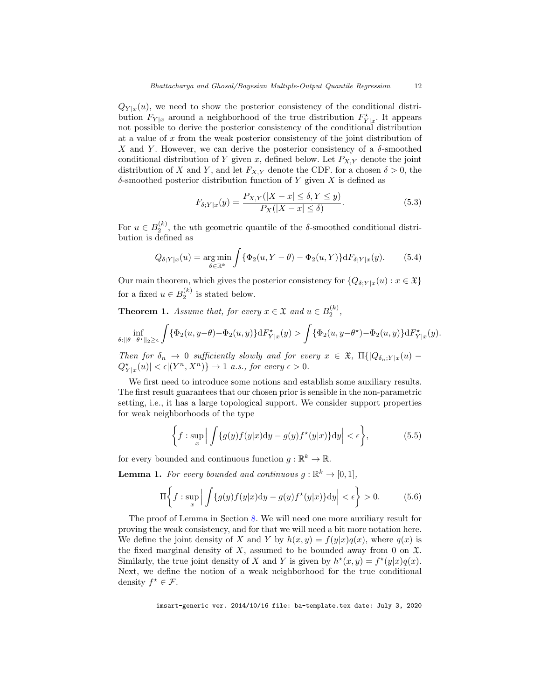$Q_{Y|x}(u)$ , we need to show the posterior consistency of the conditional distribution  $F_{Y|x}$  around a neighborhood of the true distribution  $F_{Y|x}^{\star}$ . It appears not possible to derive the posterior consistency of the conditional distribution at a value of  $x$  from the weak posterior consistency of the joint distribution of X and Y. However, we can derive the posterior consistency of a  $\delta$ -smoothed conditional distribution of Y given x, defined below. Let  $P_{X,Y}$  denote the joint distribution of X and Y, and let  $F_{X,Y}$  denote the CDF. for a chosen  $\delta > 0$ , the  $\delta$ -smoothed posterior distribution function of Y given X is defined as

$$
F_{\delta;Y|x}(y) = \frac{P_{X,Y}(|X-x| \le \delta, Y \le y)}{P_X(|X-x| \le \delta)}.
$$
\n(5.3)

For  $u \in B_2^{(k)}$ , the uth geometric quantile of the  $\delta$ -smoothed conditional distribution is defined as

$$
Q_{\delta;Y|x}(u) = \underset{\theta \in \mathbb{R}^k}{\arg \min} \int \{ \Phi_2(u, Y - \theta) - \Phi_2(u, Y) \} dF_{\delta;Y|x}(y). \tag{5.4}
$$

Our main theorem, which gives the posterior consistency for  $\{Q_{\delta;Y|x}(u) : x \in \mathfrak{X}\}\$ for a fixed  $u \in B_2^{(k)}$  is stated below.

<span id="page-11-0"></span>**Theorem 1.** Assume that, for every  $x \in \mathfrak{X}$  and  $u \in B_2^{(k)}$ ,

$$
\inf_{\theta:\|\theta-\theta^{\star}\|_2\geq\epsilon}\int\{\Phi_2(u,y-\theta)-\Phi_2(u,y)\}\mathrm{d}F^{\star}_{Y|x}(y)>\int\{\Phi_2(u,y-\theta^{\star})-\Phi_2(u,y)\}\mathrm{d}F^{\star}_{Y|x}(y).
$$

Then for  $\delta_n \to 0$  sufficiently slowly and for every  $x \in \mathfrak{X}$ ,  $\Pi\{Q_{\delta_n;Y|x}(u) Q_{Y|x}^{\star}(u) < \epsilon | (Y^n, X^n) \} \to 1$  a.s., for every  $\epsilon > 0$ .

We first need to introduce some notions and establish some auxiliary results. The first result guarantees that our chosen prior is sensible in the non-parametric setting, i.e., it has a large topological support. We consider support properties for weak neighborhoods of the type

$$
\left\{ f: \sup_x \left| \int \{g(y)f(y|x)dy - g(y)f^*(y|x)\} dy \right| < \epsilon \right\},\tag{5.5}
$$

<span id="page-11-1"></span>for every bounded and continuous function  $g: \mathbb{R}^k \to \mathbb{R}$ .

**Lemma 1.** For every bounded and continuous  $g: \mathbb{R}^k \to [0,1],$ 

$$
\Pi\bigg\{f: \sup_x \Big|\int \{g(y)f(y|x)\mathrm{d}y - g(y)f^\star(y|x)\}\mathrm{d}y\Big| < \epsilon\bigg\} > 0. \tag{5.6}
$$

The proof of Lemma in Section [8.](#page-15-0) We will need one more auxiliary result for proving the weak consistency, and for that we will need a bit more notation here. We define the joint density of X and Y by  $h(x, y) = f(y|x)q(x)$ , where  $q(x)$  is the fixed marginal density of X, assumed to be bounded away from 0 on  $\mathfrak{X}$ . Similarly, the true joint density of X and Y is given by  $h^*(x, y) = f^*(y|x)q(x)$ . Next, we define the notion of a weak neighborhood for the true conditional density  $f^* \in \mathcal{F}$ .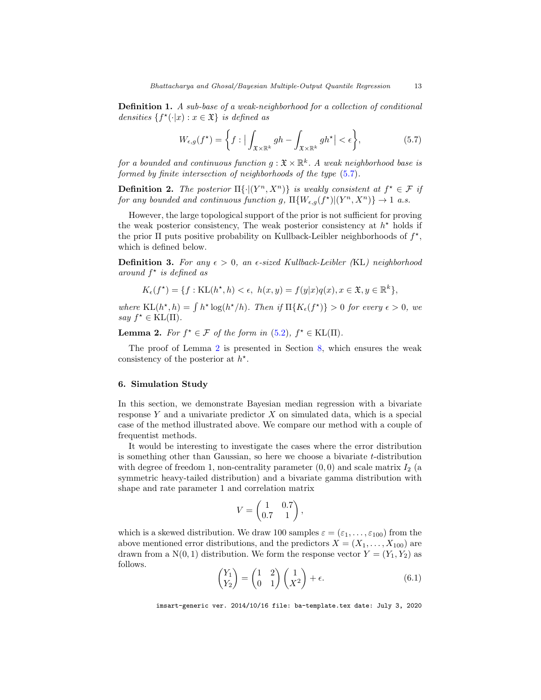Definition 1. A sub-base of a weak-neighborhood for a collection of conditional densities  $\{f^{\star}(\cdot|x):x\in\mathfrak{X}\}\;$  is defined as

<span id="page-12-1"></span>
$$
W_{\epsilon,g}(f^{\star}) = \left\{ f : \left| \int_{\mathfrak{X} \times \mathbb{R}^k} gh - \int_{\mathfrak{X} \times \mathbb{R}^k} gh^{\star} \right| < \epsilon \right\},\tag{5.7}
$$

for a bounded and continuous function  $g: \mathfrak{X} \times \mathbb{R}^k$ . A weak neighborhood base is formed by finite intersection of neighborhoods of the type [\(5.7\)](#page-12-1).

**Definition 2.** The posterior  $\Pi\{|(Y^n, X^n)\}\$ is weakly consistent at  $f^* \in \mathcal{F}$  if for any bounded and continuous function g,  $\Pi\{W_{\epsilon,g}(f^*)|(Y^n,X^n)\}\to 1$  a.s.

However, the large topological support of the prior is not sufficient for proving the weak posterior consistency, The weak posterior consistency at  $h^*$  holds if the prior  $\Pi$  puts positive probability on Kullback-Leibler neighborhoods of  $f^*$ , which is defined below.

**Definition 3.** For any  $\epsilon > 0$ , an  $\epsilon$ -sized Kullback-Leibler (KL) neighborhood around  $f^*$  is defined as

$$
K_{\epsilon}(f^*) = \{ f : \text{KL}(h^*, h) < \epsilon, \ h(x, y) = f(y|x)q(x), x \in \mathfrak{X}, y \in \mathbb{R}^k \},
$$

where  $KL(h^*, h) = \int h^* \log(h^*/h)$ . Then if  $\Pi\{K_{\epsilon}(f^*)\} > 0$  for every  $\epsilon > 0$ , we say  $f^* \in \text{KL}(\Pi)$ .

<span id="page-12-2"></span>**Lemma 2.** For  $f^* \in \mathcal{F}$  of the form in [\(5.2\)](#page-10-1),  $f^* \in \text{KL}(\Pi)$ .

The proof of Lemma [2](#page-12-2) is presented in Section [8,](#page-15-0) which ensures the weak consistency of the posterior at  $h^*$ .

#### <span id="page-12-0"></span>6. Simulation Study

In this section, we demonstrate Bayesian median regression with a bivariate response  $Y$  and a univariate predictor  $X$  on simulated data, which is a special case of the method illustrated above. We compare our method with a couple of frequentist methods.

It would be interesting to investigate the cases where the error distribution is something other than Gaussian, so here we choose a bivariate t-distribution with degree of freedom 1, non-centrality parameter  $(0, 0)$  and scale matrix  $I_2$  (a symmetric heavy-tailed distribution) and a bivariate gamma distribution with shape and rate parameter 1 and correlation matrix

$$
V = \begin{pmatrix} 1 & 0.7 \\ 0.7 & 1 \end{pmatrix},
$$

which is a skewed distribution. We draw 100 samples  $\varepsilon = (\varepsilon_1, \ldots, \varepsilon_{100})$  from the above mentioned error distributions, and the predictors  $X = (X_1, \ldots, X_{100})$  are drawn from a N(0, 1) distribution. We form the response vector  $Y = (Y_1, Y_2)$  as follows.

$$
\begin{pmatrix} Y_1 \\ Y_2 \end{pmatrix} = \begin{pmatrix} 1 & 2 \\ 0 & 1 \end{pmatrix} \begin{pmatrix} 1 \\ X^2 \end{pmatrix} + \epsilon.
$$
 (6.1)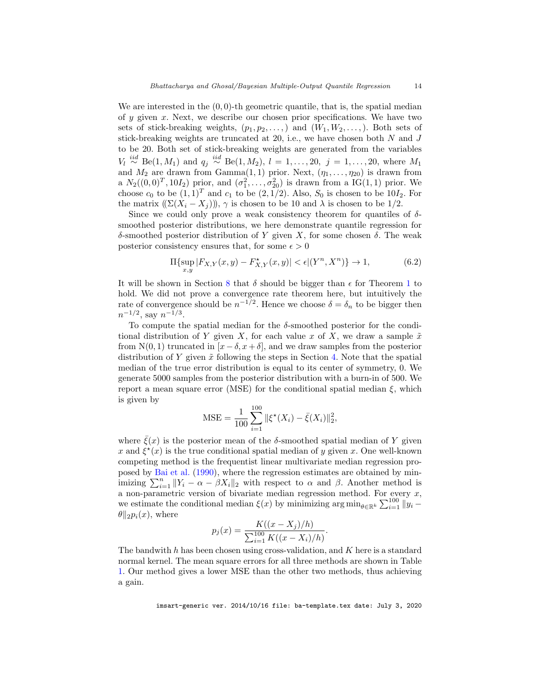<span id="page-13-0"></span>We are interested in the  $(0, 0)$ -th geometric quantile, that is, the spatial median of  $y$  given  $x$ . Next, we describe our chosen prior specifications. We have two sets of stick-breaking weights,  $(p_1, p_2, \ldots)$  and  $(W_1, W_2, \ldots)$ . Both sets of stick-breaking weights are truncated at 20, i.e., we have chosen both  $N$  and  $J$ to be 20. Both set of stick-breaking weights are generated from the variables  $V_l \stackrel{iid}{\sim} \text{Be}(1, M_1)$  and  $q_j \stackrel{iid}{\sim} \text{Be}(1, M_2)$ ,  $l = 1, ..., 20$ ,  $j = 1, ..., 20$ , where  $M_1$ and  $M_2$  are drawn from  $Gamma(1,1)$  prior. Next,  $(\eta_1,\ldots,\eta_{20})$  is drawn from a  $N_2((0,0)^T, 10I_2)$  prior, and  $(\sigma_1^2, ..., \sigma_{20}^2)$  is drawn from a IG(1,1) prior. We choose  $c_0$  to be  $(1,1)^T$  and  $c_1$  to be  $(2,1/2)$ . Also,  $S_0$  is chosen to be  $10I_2$ . For the matrix  $((\Sigma(X_i - X_j))), \gamma$  is chosen to be 10 and  $\lambda$  is chosen to be 1/2.

Since we could only prove a weak consistency theorem for quantiles of  $\delta$ smoothed posterior distributions, we here demonstrate quantile regression for δ-smoothed posterior distribution of Y given X, for some chosen δ. The weak posterior consistency ensures that, for some  $\epsilon > 0$ 

$$
\Pi\{\sup_{x,y}|F_{X,Y}(x,y) - F_{X,Y}^*(x,y)| < \epsilon | (Y^n, X^n) \} \to 1,\tag{6.2}
$$

It will be shown in Section [8](#page-15-0) that  $\delta$  should be bigger than  $\epsilon$  for Theorem [1](#page-11-0) to hold. We did not prove a convergence rate theorem here, but intuitively the rate of convergence should be  $n^{-1/2}$ . Hence we choose  $\delta = \delta_n$  to be bigger then  $n^{-1/2}$ , say  $n^{-1/3}$ .

To compute the spatial median for the  $\delta$ -smoothed posterior for the conditional distribution of Y given X, for each value x of X, we draw a sample  $\tilde{x}$ from N(0, 1) truncated in  $[x - \delta, x + \delta]$ , and we draw samples from the posterior distribution of Y given  $\tilde{x}$  following the steps in Section [4.](#page-5-0) Note that the spatial median of the true error distribution is equal to its center of symmetry, 0. We generate 5000 samples from the posterior distribution with a burn-in of 500. We report a mean square error (MSE) for the conditional spatial median  $\xi$ , which is given by

MSE = 
$$
\frac{1}{100} \sum_{i=1}^{100} ||\xi^*(X_i) - \bar{\xi}(X_i)||_2^2,
$$

where  $\xi(x)$  is the posterior mean of the  $\delta$ -smoothed spatial median of Y given x and  $\xi^*(x)$  is the true conditional spatial median of y given x. One well-known competing method is the frequentist linear multivariate median regression proposed by [Bai et al.](#page-22-0) [\(1990\)](#page-22-0), where the regression estimates are obtained by minimizing  $\sum_{i=1}^n ||Y_i - \alpha - \beta X_i||_2$  with respect to  $\alpha$  and  $\beta$ . Another method is a non-parametric version of bivariate median regression method. For every  $x$ , we estimate the conditional median  $\xi(x)$  by minimizing  $\arg \min_{\theta \in \mathbb{R}^k} \sum_{i=1}^{100} ||y_i \theta$ ||<sub>2</sub> $p_i(x)$ , where

$$
p_j(x) = \frac{K((x - X_j)/h)}{\sum_{i=1}^{100} K((x - X_i)/h)}.
$$

The bandwith h has been chosen using cross-validation, and  $K$  here is a standard normal kernel. The mean square errors for all three methods are shown in Table [1.](#page-14-1) Our method gives a lower MSE than the other two methods, thus achieving a gain.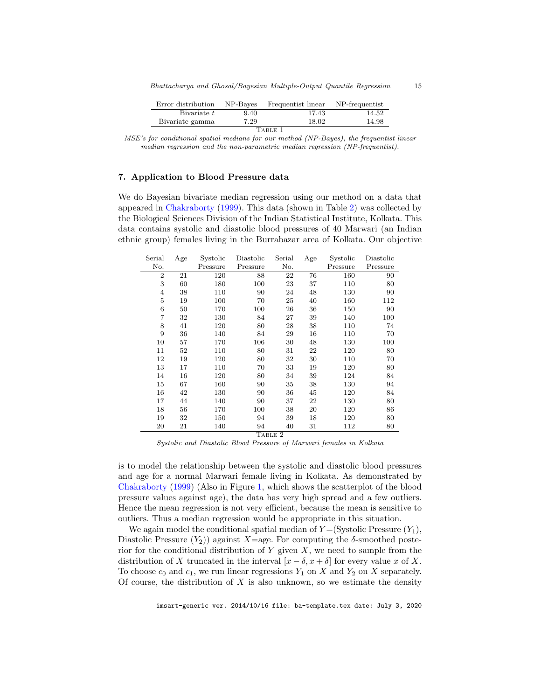<span id="page-14-3"></span>

| Error distribution | NP-Bayes | Frequentist linear | NP-frequentist |  |  |  |  |
|--------------------|----------|--------------------|----------------|--|--|--|--|
| Bivariate t        | 9.40     | 17.43              | 14.52          |  |  |  |  |
| Bivariate gamma    | 7.29     | 18.02              | 14.98          |  |  |  |  |
| Table 1            |          |                    |                |  |  |  |  |

<span id="page-14-1"></span>MSE's for conditional spatial medians for our method (NP-Bayes), the frequentist linear median regression and the non-parametric median regression (NP-frequentist).

#### <span id="page-14-0"></span>7. Application to Blood Pressure data

We do Bayesian bivariate median regression using our method on a data that appeared in [Chakraborty](#page-26-15) [\(1999\)](#page-26-15). This data (shown in Table [2\)](#page-14-2) was collected by the Biological Sciences Division of the Indian Statistical Institute, Kolkata. This data contains systolic and diastolic blood pressures of 40 Marwari (an Indian ethnic group) females living in the Burrabazar area of Kolkata. Our objective

| Serial         | Age | Systolic | Diastolic | Serial | Age | Systolic | Diastolic |
|----------------|-----|----------|-----------|--------|-----|----------|-----------|
| No.            |     | Pressure | Pressure  | No.    |     | Pressure | Pressure  |
| $\overline{2}$ | 21  | 120      | 88        | 22     | 76  | 160      | 90        |
| 3              | 60  | 180      | 100       | 23     | 37  | 110      | 80        |
| $\overline{4}$ | 38  | 110      | 90        | 24     | 48  | 130      | 90        |
| 5              | 19  | 100      | 70        | 25     | 40  | 160      | 112       |
| 6              | 50  | 170      | 100       | 26     | 36  | 150      | 90        |
| $\overline{7}$ | 32  | 130      | 84        | 27     | 39  | 140      | 100       |
| 8              | 41  | 120      | 80        | 28     | 38  | 110      | 74        |
| 9              | 36  | 140      | 84        | 29     | 16  | 110      | 70        |
| 10             | 57  | 170      | 106       | 30     | 48  | 130      | 100       |
| 11             | 52  | 110      | 80        | 31     | 22  | 120      | 80        |
| 12             | 19  | 120      | 80        | 32     | 30  | 110      | 70        |
| 13             | 17  | 110      | 70        | 33     | 19  | 120      | 80        |
| 14             | 16  | 120      | 80        | 34     | 39  | 124      | 84        |
| 15             | 67  | 160      | 90        | 35     | 38  | 130      | 94        |
| 16             | 42  | 130      | 90        | 36     | 45  | 120      | 84        |
| 17             | 44  | 140      | 90        | 37     | 22  | 130      | 80        |
| 18             | 56  | 170      | 100       | 38     | 20  | 120      | 86        |
| 19             | 32  | 150      | 94        | 39     | 18  | 120      | 80        |
| 20             | 21  | 140      | 94        | 40     | 31  | 112      | 80        |
| TABLE 2        |     |          |           |        |     |          |           |

Systolic and Diastolic Blood Pressure of Marwari females in Kolkata

<span id="page-14-2"></span>is to model the relationship between the systolic and diastolic blood pressures and age for a normal Marwari female living in Kolkata. As demonstrated by [Chakraborty](#page-26-15) [\(1999\)](#page-26-15) (Also in Figure [1,](#page-23-0) which shows the scatterplot of the blood pressure values against age), the data has very high spread and a few outliers. Hence the mean regression is not very efficient, because the mean is sensitive to outliers. Thus a median regression would be appropriate in this situation.

We again model the conditional spatial median of  $Y = (Systolic Pressure (Y_1),$ Diastolic Pressure  $(Y_2)$  against X=age. For computing the  $\delta$ -smoothed posterior for the conditional distribution of  $Y$  given  $X$ , we need to sample from the distribution of X truncated in the interval  $[x - \delta, x + \delta]$  for every value x of X. To choose  $c_0$  and  $c_1$ , we run linear regressions  $Y_1$  on X and  $Y_2$  on X separately. Of course, the distribution of  $X$  is also unknown, so we estimate the density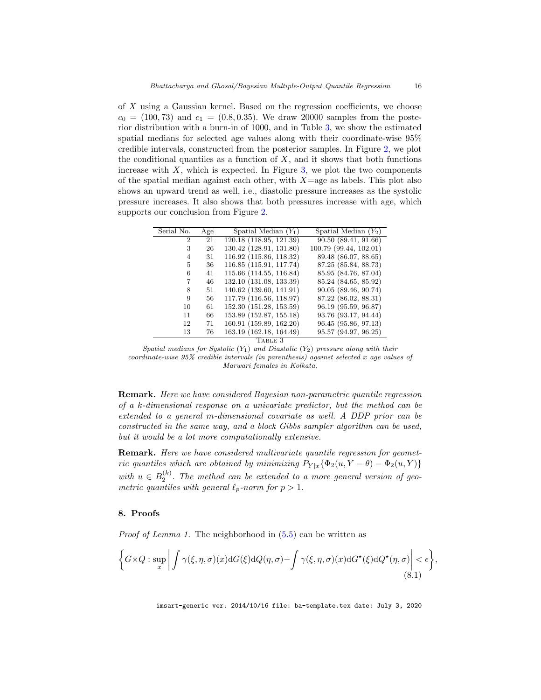of X using a Gaussian kernel. Based on the regression coefficients, we choose  $c_0 = (100, 73)$  and  $c_1 = (0.8, 0.35)$ . We draw 20000 samples from the posterior distribution with a burn-in of 1000, and in Table [3,](#page-15-1) we show the estimated spatial medians for selected age values along with their coordinate-wise 95% credible intervals, constructed from the posterior samples. In Figure [2,](#page-24-0) we plot the conditional quantiles as a function of  $X$ , and it shows that both functions increase with  $X$ , which is expected. In Figure [3,](#page-25-0) we plot the two components of the spatial median against each other, with  $X=$ age as labels. This plot also shows an upward trend as well, i.e., diastolic pressure increases as the systolic pressure increases. It also shows that both pressures increase with age, which supports our conclusion from Figure [2.](#page-24-0)

| Serial No.     | Age | Spatial Median $(Y_1)$  | Spatial Median $(Y_2)$ |  |  |  |
|----------------|-----|-------------------------|------------------------|--|--|--|
|                |     |                         |                        |  |  |  |
| $\overline{2}$ | 21  | 120.18 (118.95, 121.39) | 90.50(89.41, 91.66)    |  |  |  |
| 3              | 26  | 130.42 (128.91, 131.80) | 100.79 (99.44, 102.01) |  |  |  |
| 4              | 31  | 116.92 (115.86, 118.32) | 89.48 (86.07, 88.65)   |  |  |  |
| 5              | 36  | 116.85 (115.91, 117.74) | 87.25 (85.84, 88.73)   |  |  |  |
| 6              | 41  | 115.66 (114.55, 116.84) | 85.95 (84.76, 87.04)   |  |  |  |
| 7              | 46  | 132.10 (131.08, 133.39) | 85.24 (84.65, 85.92)   |  |  |  |
| 8              | 51  | 140.62 (139.60, 141.91) | 90.05(89.46, 90.74)    |  |  |  |
| 9              | 56  | 117.79 (116.56, 118.97) | 87.22 (86.02, 88.31)   |  |  |  |
| 10             | 61  | 152.30 (151.28, 153.59) | 96.19 (95.59, 96.87)   |  |  |  |
| 11             | 66  | 153.89 (152.87, 155.18) | 93.76 (93.17, 94.44)   |  |  |  |
| 12             | 71  | 160.91 (159.89, 162.20) | 96.45 (95.86, 97.13)   |  |  |  |
| 13             | 76  | 163.19 (162.18, 164.49) | 95.57 (94.97, 96.25)   |  |  |  |
| TABLE 3        |     |                         |                        |  |  |  |

<span id="page-15-1"></span>Spatial medians for Systolic  $(Y_1)$  and Diastolic  $(Y_2)$  pressure along with their coordinate-wise 95% credible intervals (in parenthesis) against selected x age values of Marwari females in Kolkata.

Remark. Here we have considered Bayesian non-parametric quantile regression of a k-dimensional response on a univariate predictor, but the method can be extended to a general m-dimensional covariate as well. A DDP prior can be constructed in the same way, and a block Gibbs sampler algorithm can be used, but it would be a lot more computationally extensive.

Remark. Here we have considered multivariate quantile regression for geometric quantiles which are obtained by minimizing  $P_{Y|x} \{ \Phi_2(u, Y - \theta) - \Phi_2(u, Y) \}$ with  $u \in B_2^{(k)}$ . The method can be extended to a more general version of geometric quantiles with general  $\ell_p$ -norm for  $p > 1$ .

#### <span id="page-15-0"></span>8. Proofs

Proof of Lemma 1. The neighborhood in  $(5.5)$  can be written as

$$
\left\{ G \times Q : \sup_x \left| \int \gamma(\xi, \eta, \sigma)(x) dG(\xi) dQ(\eta, \sigma) - \int \gamma(\xi, \eta, \sigma)(x) dG^{\star}(\xi) dQ^{\star}(\eta, \sigma) \right| < \epsilon \right\},\tag{8.1}
$$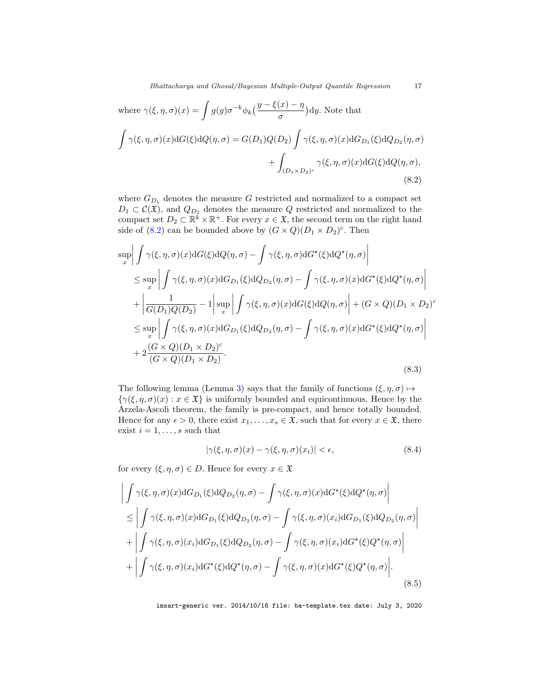where 
$$
\gamma(\xi, \eta, \sigma)(x) = \int g(y)\sigma^{-k}\phi_k\left(\frac{y-\xi(x)-\eta}{\sigma}\right)dy
$$
. Note that  
\n
$$
\int \gamma(\xi, \eta, \sigma)(x)dG(\xi)dQ(\eta, \sigma) = G(D_1)Q(D_2)\int \gamma(\xi, \eta, \sigma)(x)dG_{D_1}(\xi)dQ_{D_2}(\eta, \sigma) + \int_{(D_1 \times D_2)^c} \gamma(\xi, \eta, \sigma)(x)dG(\xi)dQ(\eta, \sigma),
$$
\n(8.2)

<span id="page-16-0"></span>where  $G_{D_1}$  denotes the measure G restricted and normalized to a compact set  $D_1 \subset \mathcal{C}(\mathfrak{X})$ , and  $Q_{D_2}$  denotes the measure Q restricted and normalized to the compact set  $D_2 \subset \mathbb{R}^k \times \mathbb{R}^+$ . For every  $x \in \mathfrak{X}$ , the second term on the right hand side of [\(8.2\)](#page-16-0) can be bounded above by  $(G \times Q)(D_1 \times D_2)^c$ . Then

<span id="page-16-2"></span>
$$
\sup_{x} \left| \int \gamma(\xi, \eta, \sigma)(x) dG(\xi) dQ(\eta, \sigma) - \int \gamma(\xi, \eta, \sigma) dG^{\star}(\xi) dQ^{\star}(\eta, \sigma) \right|
$$
  
\n
$$
\leq \sup_{x} \left| \int \gamma(\xi, \eta, \sigma)(x) dG_{D_1}(\xi) dQ_{D_2}(\eta, \sigma) - \int \gamma(\xi, \eta, \sigma)(x) dG^{\star}(\xi) dQ^{\star}(\eta, \sigma) \right|
$$
  
\n
$$
+ \left| \frac{1}{G(D_1)Q(D_2)} - 1 \right| \sup_{x} \left| \int \gamma(\xi, \eta, \sigma)(x) dG(\xi) dQ(\eta, \sigma) \right| + (G \times Q)(D_1 \times D_2)^c
$$
  
\n
$$
\leq \sup_{x} \left| \int \gamma(\xi, \eta, \sigma)(x) dG_{D_1}(\xi) dQ_{D_2}(\eta, \sigma) - \int \gamma(\xi, \eta, \sigma)(x) dG^{\star}(\xi) dQ^{\star}(\eta, \sigma) \right|
$$
  
\n
$$
+ 2 \frac{(G \times Q)(D_1 \times D_2)^c}{(G \times Q)(D_1 \times D_2)}.
$$
  
\n(8.3)

The following lemma (Lemma [3\)](#page-17-0) says that the family of functions  $(\xi, \eta, \sigma) \mapsto$  $\{\gamma(\xi,\eta,\sigma)(x) : x \in \mathfrak{X}\}\$ is uniformly bounded and equicontinuous. Hence by the Arzela-Ascoli theorem, the family is pre-compact, and hence totally bounded. Hence for any  $\epsilon > 0$ , there exist  $x_1, \ldots, x_s \in \mathfrak{X}$ , such that for every  $x \in \mathfrak{X}$ , there exist  $i = 1, \ldots, s$  such that

<span id="page-16-1"></span>
$$
|\gamma(\xi, \eta, \sigma)(x) - \gamma(\xi, \eta, \sigma)(x_i)| < \epsilon,\tag{8.4}
$$

for every  $(\xi, \eta, \sigma) \in D$ . Hence for every  $x \in \mathfrak{X}$ 

$$
\left| \int \gamma(\xi,\eta,\sigma)(x) dG_{D_1}(\xi) dQ_{D_2}(\eta,\sigma) - \int \gamma(\xi,\eta,\sigma)(x) dG^{\star}(\xi) dQ^{\star}(\eta,\sigma) \right| \right|
$$
  
\n
$$
\leq \left| \int \gamma(\xi,\eta,\sigma)(x) dG_{D_1}(\xi) dQ_{D_2}(\eta,\sigma) - \int \gamma(\xi,\eta,\sigma)(x_i) dG_{D_1}(\xi) dQ_{D_2}(\eta,\sigma) \right|
$$
  
\n
$$
+ \left| \int \gamma(\xi,\eta,\sigma)(x_i) dG_{D_1}(\xi) dQ_{D_2}(\eta,\sigma) - \int \gamma(\xi,\eta,\sigma)(x_i) dG^{\star}(\xi) Q^{\star}(\eta,\sigma) \right|
$$
  
\n
$$
+ \left| \int \gamma(\xi,\eta,\sigma)(x_i) dG^{\star}(\xi) dQ^{\star}(\eta,\sigma) - \int \gamma(\xi,\eta,\sigma)(x) dG^{\star}(\xi) Q^{\star}(\eta,\sigma) \right|.
$$
  
\n(8.5)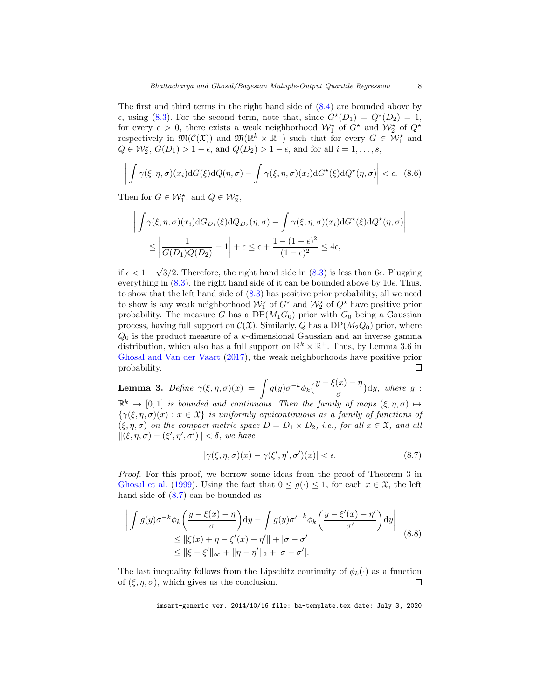<span id="page-17-2"></span>The first and third terms in the right hand side of [\(8.4\)](#page-16-1) are bounded above by  $\epsilon$ , using [\(8.3\)](#page-16-2). For the second term, note that, since  $G^*(D_1) = Q^*(D_2) = 1$ , for every  $\epsilon > 0$ , there exists a weak neighborhood  $\mathcal{W}_1^{\star}$  of  $G^{\star}$  and  $\mathcal{W}_2^{\star}$  of  $Q^{\star}$ respectively in  $\mathfrak{M}(\mathcal{C}(\mathfrak{X}))$  and  $\mathfrak{M}(\mathbb{R}^k \times \mathbb{R}^+)$  such that for every  $G \in \mathcal{W}_1^*$  and  $Q \in \mathcal{W}_2^{\star}, G(D_1) > 1 - \epsilon$ , and  $Q(D_2) > 1 - \epsilon$ , and for all  $i = 1, \ldots, s$ ,

$$
\left| \int \gamma(\xi,\eta,\sigma)(x_i) dG(\xi) dQ(\eta,\sigma) - \int \gamma(\xi,\eta,\sigma)(x_i) dG^\star(\xi) dQ^\star(\eta,\sigma) \right| < \epsilon. \tag{8.6}
$$

Then for  $G \in \mathcal{W}_1^*$ , and  $Q \in \mathcal{W}_2^*$ ,

$$
\left| \int \gamma(\xi, \eta, \sigma)(x_i) dG_{D_1}(\xi) dQ_{D_2}(\eta, \sigma) - \int \gamma(\xi, \eta, \sigma)(x_i) dG^{\star}(\xi) dQ^{\star}(\eta, \sigma) \right|
$$
  

$$
\leq \left| \frac{1}{G(D_1)Q(D_2)} - 1 \right| + \epsilon \leq \epsilon + \frac{1 - (1 - \epsilon)^2}{(1 - \epsilon)^2} \leq 4\epsilon,
$$

√ if  $\epsilon < 1$  –  $3/2$ . Therefore, the right hand side in  $(8.3)$  is less than 6 $\epsilon$ . Plugging everything in  $(8.3)$ , the right hand side of it can be bounded above by  $10\epsilon$ . Thus, to show that the left hand side of [\(8.3\)](#page-16-2) has positive prior probability, all we need to show is any weak neighborhood  $\mathcal{W}_1^{\star}$  of  $G^{\star}$  and  $\mathcal{W}_2^{\star}$  of  $Q^{\star}$  have positive prior probability. The measure G has a  $DP(M_1G_0)$  prior with  $G_0$  being a Gaussian process, having full support on  $\mathcal{C}(\mathfrak{X})$ . Similarly, Q has a DP( $M_2Q_0$ ) prior, where  $Q_0$  is the product measure of a k-dimensional Gaussian and an inverse gamma distribution, which also has a full support on  $\mathbb{R}^k \times \mathbb{R}^+$ . Thus, by Lemma 3.6 in [Ghosal and Van der Vaart](#page-26-11) [\(2017\)](#page-26-11), the weak neighborhoods have positive prior probability.  $\Box$ 

<span id="page-17-0"></span>**Lemma 3.** Define 
$$
\gamma(\xi, \eta, \sigma)(x) = \int g(y)\sigma^{-k}\phi_k\left(\frac{y-\xi(x)-\eta}{\sigma}\right)dy
$$
, where  $g: \mathbb{R}^k \to [0,1]$  is bounded and continuous. Then the family of mass  $(\xi, \eta, \sigma) \mapsto$ 

 $k \to [0, 1]$  is bounded and continuous. Then the family of maps  $(\xi, \eta, \sigma) \mapsto \frac{1}{2}$  ${\gamma(\xi,\eta,\sigma)(x): x \in \mathfrak{X}}$  is uniformly equicontinuous as a family of functions of  $(\xi, \eta, \sigma)$  on the compact metric space  $D = D_1 \times D_2$ , i.e., for all  $x \in \mathfrak{X}$ , and all  $\|(\xi, \eta, \sigma) - (\xi', \eta', \sigma')\| < \delta$ , we have

<span id="page-17-1"></span>
$$
|\gamma(\xi,\eta,\sigma)(x) - \gamma(\xi',\eta',\sigma')(x)| < \epsilon. \tag{8.7}
$$

Proof. For this proof, we borrow some ideas from the proof of Theorem 3 in [Ghosal et al.](#page-26-16) [\(1999\)](#page-26-16). Using the fact that  $0 \le g(\cdot) \le 1$ , for each  $x \in \mathfrak{X}$ , the left hand side of [\(8.7\)](#page-17-1) can be bounded as

$$
\left| \int g(y)\sigma^{-k}\phi_k\left(\frac{y-\xi(x)-\eta}{\sigma}\right)dy - \int g(y)\sigma'^{-k}\phi_k\left(\frac{y-\xi'(x)-\eta'}{\sigma'}\right)dy \right|
$$
  
\n
$$
\leq \|\xi(x)+\eta-\xi'(x)-\eta'\|+|\sigma-\sigma'|
$$
  
\n
$$
\leq \|\xi-\xi'\|_{\infty} + \|\eta-\eta'\|_2 + |\sigma-\sigma'|.
$$
\n(8.8)

The last inequality follows from the Lipschitz continuity of  $\phi_k(\cdot)$  as a function of  $(\xi, \eta, \sigma)$ , which gives us the conclusion.  $\Box$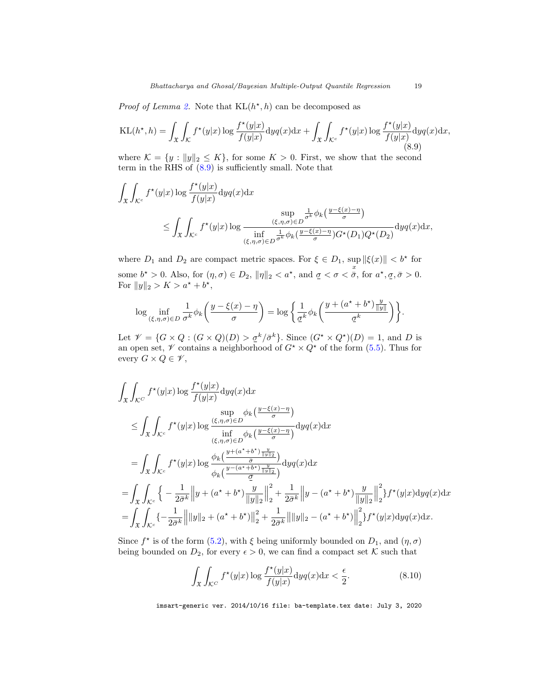*Proof of Lemma [2.](#page-12-2)* Note that  $KL(h^{\star}, h)$  can be decomposed as

<span id="page-18-0"></span>
$$
KL(h^{\star}, h) = \int_{\mathfrak{X}} \int_{\mathcal{K}} f^{\star}(y|x) \log \frac{f^{\star}(y|x)}{f(y|x)} dy q(x) dx + \int_{\mathfrak{X}} \int_{\mathcal{K}^c} f^{\star}(y|x) \log \frac{f^{\star}(y|x)}{f(y|x)} dy q(x) dx,
$$
\n(8.9)

where  $\mathcal{K} = \{y : ||y||_2 \leq K\}$ , for some  $K > 0$ . First, we show that the second term in the RHS of [\(8.9\)](#page-18-0) is sufficiently small. Note that

$$
\int_{\mathfrak{X}} \int_{\mathcal{K}^c} f^{\star}(y|x) \log \frac{f^{\star}(y|x)}{f(y|x)} dy q(x) dx \le \sup_{(\xi,\eta,\sigma) \in D} \frac{\frac{1}{\sigma^k} \phi_k\left(\frac{y-\xi(x)-\eta}{\sigma}\right)}{\sup_{(\xi,\eta,\sigma) \in D} \frac{(\xi,\eta,\sigma) \in D}{\sigma^k} \phi_k\left(\frac{y-\xi(x)-\eta}{\sigma}\right)} dy q(x) dx,
$$

where  $D_1$  and  $D_2$  are compact metric spaces. For  $\xi \in D_1$ ,  $\sup_x ||\xi(x)|| < b^*$  for some  $b^* > 0$ . Also, for  $(\eta, \sigma) \in D_2$ ,  $\|\eta\|_2 < a^*$ , and  $\sigma < \sigma < \bar{\sigma}$ , for  $a^*, \sigma, \bar{\sigma} > 0$ . For  $||y||_2 > K > a^* + b^*$ ,

$$
\log \inf_{(\xi,\eta,\sigma)\in D} \frac{1}{\sigma^k} \phi_k\left(\frac{y-\xi(x)-\eta}{\sigma}\right) = \log \left\{\frac{1}{\underline{\sigma}^k} \phi_k\left(\frac{y+(a^*+b^*)\frac{y}{\|y\|}}{\underline{\sigma}^k}\right)\right\}.
$$

Let  $\mathcal{V} = \{G \times Q : (G \times Q)(D) > \underline{\sigma}^k / \overline{\sigma}^k\}$ . Since  $(G^* \times Q^*)(D) = 1$ , and D is an open set,  $\mathscr V$  contains a neighborhood of  $G^* \times Q^*$  of the form [\(5.5\)](#page-11-1). Thus for every  $G \times Q \in \mathscr{V}$ ,

$$
\int_{\mathfrak{X}} \int_{\mathcal{K}^{C}} f^{\star}(y|x) \log \frac{f^{\star}(y|x)}{f(y|x)} \mathrm{d}yq(x) \mathrm{d}x
$$
\n
$$
\leq \int_{\mathfrak{X}} \int_{\mathcal{K}^{c}} f^{\star}(y|x) \log \frac{(\xi, \eta, \sigma) \in D}{\inf_{(\xi, \eta, \sigma) \in D} \phi_{k}(\frac{y-\xi(x)-\eta}{\sigma})} \mathrm{d}yq(x) \mathrm{d}x
$$
\n
$$
= \int_{\mathfrak{X}} \int_{\mathcal{K}^{c}} f^{\star}(y|x) \log \frac{\phi_{k}(\frac{y+(\alpha^{*}+b^{*})\frac{y}{\|y\|_{2}}}{\sigma})}{\phi_{k}(\frac{y-(\alpha^{*}+b^{*})\frac{y}{\|y\|_{2}}}{\sigma})} \mathrm{d}yq(x) \mathrm{d}x
$$
\n
$$
= \int_{\mathfrak{X}} \int_{\mathcal{K}^{c}} \left\{ -\frac{1}{2\bar{\sigma}^{k}} \left\| y + (\alpha^{*}+b^{*})\frac{y}{\|y\|_{2}} \right\|_{2}^{2} + \frac{1}{2\bar{\sigma}^{k}} \left\| y - (\alpha^{*}+b^{*})\frac{y}{\|y\|_{2}} \right\|_{2}^{2} \right\} f^{\star}(y|x) \mathrm{d}yq(x) \mathrm{d}x
$$
\n
$$
= \int_{\mathfrak{X}} \int_{\mathcal{K}^{c}} \left\{ -\frac{1}{2\bar{\sigma}^{k}} \left\| \|y\|_{2} + (\alpha^{*}+b^{*})\right\|_{2}^{2} + \frac{1}{2\bar{\sigma}^{k}} \left\| \|y\|_{2} - (\alpha^{*}+b^{*})\right\|_{2}^{2} \right\} f^{\star}(y|x) \mathrm{d}yq(x) \mathrm{d}x.
$$

Since  $f^*$  is of the form [\(5.2\)](#page-10-1), with  $\xi$  being uniformly bounded on  $D_1$ , and  $(\eta, \sigma)$ being bounded on  $D_2$ , for every  $\epsilon > 0$ , we can find a compact set K such that

$$
\int_{\mathfrak{X}} \int_{\mathcal{K}^C} f^{\star}(y|x) \log \frac{f^{\star}(y|x)}{f(y|x)} dy q(x) dx < \frac{\epsilon}{2}.
$$
\n(8.10)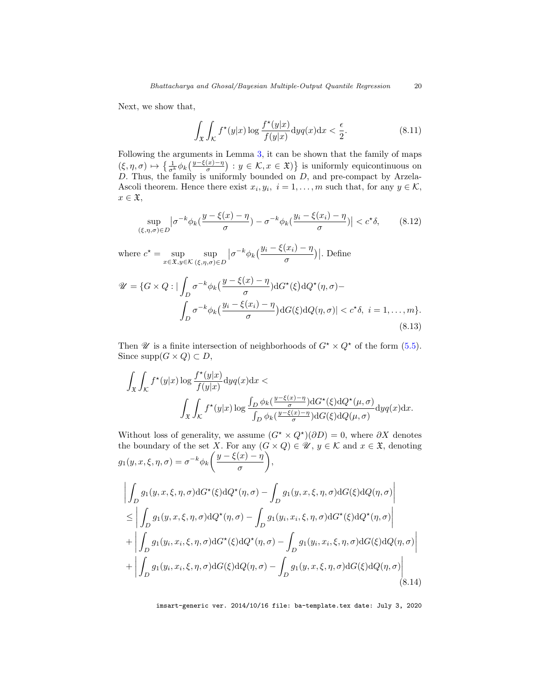Next, we show that,

$$
\int_{\mathfrak{X}} \int_{\mathcal{K}} f^{\star}(y|x) \log \frac{f^{\star}(y|x)}{f(y|x)} dy q(x) dx < \frac{\epsilon}{2}.
$$
\n(8.11)

Following the arguments in Lemma [3,](#page-17-0) it can be shown that the family of maps  $(\xi, \eta, \sigma) \mapsto \left\{ \frac{1}{\sigma^k} \phi_k \left( \frac{y - \xi(x) - \eta}{\sigma} \right) : y \in \mathcal{K}, x \in \mathfrak{X} \right\}$  is uniformly equicontinuous on D. Thus, the family is uniformly bounded on D, and pre-compact by Arzela-Ascoli theorem. Hence there exist  $x_i, y_i, i = 1, ..., m$  such that, for any  $y \in \mathcal{K}$ ,  $x \in \mathfrak{X},$ 

<span id="page-19-1"></span>
$$
\sup_{(\xi,\eta,\sigma)\in D} |\sigma^{-k}\phi_k(\frac{y-\xi(x)-\eta}{\sigma}) - \sigma^{-k}\phi_k(\frac{y_i-\xi(x_i)-\eta}{\sigma})| < c^{\star}\delta,\tag{8.12}
$$

where  $c^* = \sup_{x \in \mathfrak{X}, y \in \mathcal{K}} \sup_{(\xi, \eta, \sigma)}$  $(\xi, \eta, \sigma) \in D$  $\left|\sigma^{-k}\phi_k\left(\frac{y_i-\xi(x_i)-\eta}{\sigma}\right)\right|$ . Define

$$
\mathcal{U} = \{G \times Q : |\int_D \sigma^{-k} \phi_k\left(\frac{y - \xi(x) - \eta}{\sigma}\right) dG^\star(\xi) dQ^\star(\eta, \sigma) - \int_D \sigma^{-k} \phi_k\left(\frac{y_i - \xi(x_i) - \eta}{\sigma}\right) dG(\xi) dQ(\eta, \sigma)| < c^\star \delta, \ i = 1, \dots, m\}.
$$
\n(8.13)

Then  $\mathscr U$  is a finite intersection of neighborhoods of  $G^* \times Q^*$  of the form [\(5.5\)](#page-11-1). Since  $supp(G \times Q) \subset D$ ,

$$
\begin{aligned} \int_{\mathfrak X}\int_{\mathcal K}f^\star(y|x)\log\frac{f^\star(y|x)}{f(y|x)}\mathrm dy q(x)\mathrm dx <\\ \int_{\mathfrak X}\int_{\mathcal K}f^\star(y|x)\log\frac{\int_D\phi_k(\frac{y-\xi(x)-\eta}{\sigma})\mathrm dG^\star(\xi)\mathrm dQ^\star(\mu,\sigma)}{\int_D\phi_k(\frac{y-\xi(x)-\eta}{\sigma})\mathrm dG(\xi)\mathrm dQ(\mu,\sigma)}\mathrm dy q(x)\mathrm dx. \end{aligned}
$$

Without loss of generality, we assume  $(G^* \times Q^*) (\partial D) = 0$ , where  $\partial X$  denotes the boundary of the set X. For any  $(G \times Q) \in \mathcal{U}$ ,  $y \in \mathcal{K}$  and  $x \in \mathfrak{X}$ , denoting  $g_1(y, x, \xi, \eta, \sigma) = \sigma^{-k} \phi_k \left( \frac{y - \xi(x) - \eta}{\sigma} \right)$ σ  $\bigg),$  $\begin{array}{c} \begin{array}{c} \begin{array}{c} \end{array} \\ \begin{array}{c} \end{array} \end{array} \end{array}$ Z  $\int\limits_{D} g_1(y,x,\xi,\eta,\sigma) {\rm d}G^\star(\xi) {\rm d}Q^\star(\eta,\sigma) - \int\limits_{D}$  $\int_D g_1(y,x,\xi,\eta,\sigma) \mathrm{d}G(\xi) \mathrm{d}Q(\eta,\sigma)$  $\leq$ Z  $\int\limits_{D} g_1(y,x,\xi,\eta,\sigma) {\rm d} Q^\star(\eta,\sigma) - \int\limits_{D}$  $\int_D g_1(y_i, x_i, \xi, \eta, \sigma) \mathrm{d}G^{\star}(\xi) \mathrm{d}Q^{\star}(\eta, \sigma)$  $+$ Z  $\int\limits_{D} g_1(y_i,x_i,\xi,\eta,\sigma) {\rm d}G^\star(\xi) {\rm d}Q^\star(\eta,\sigma) - \int\limits_{D}$  $\int_D g_1(y_i, x_i, \xi, \eta, \sigma) \mathrm{d}G(\xi) \mathrm{d}Q(\eta, \sigma)$  $+$ Z  $\int\limits_{D} g_1(y_i,x_i,\xi,\eta,\sigma) {\rm d}G(\xi) {\rm d}Q(\eta,\sigma) - \int\limits_{D}$  $\int_D g_1(y,x,\xi,\eta,\sigma)\mathrm{d}G(\xi)\mathrm{d}Q(\eta,\sigma)\Bigg|_D$ 

<span id="page-19-0"></span>imsart-generic ver. 2014/10/16 file: ba-template.tex date: July 3, 2020

 $(8.14)$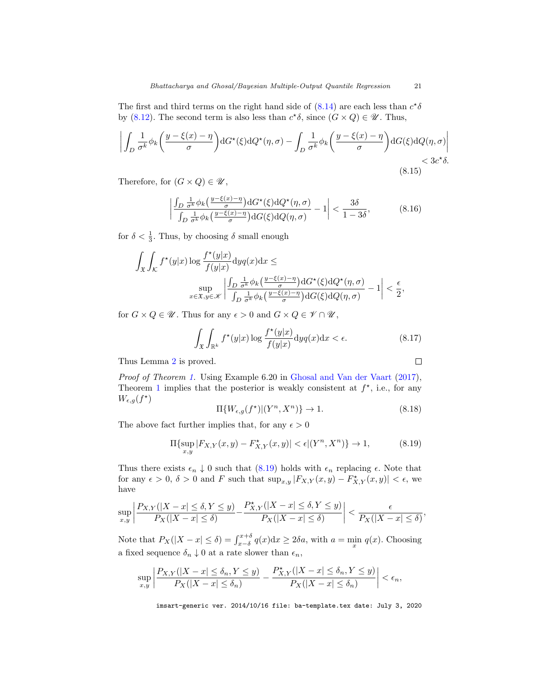<span id="page-20-1"></span>The first and third terms on the right hand side of  $(8.14)$  are each less than  $c^*\delta$ by [\(8.12\)](#page-19-1). The second term is also less than  $c^*\delta$ , since  $(G \times Q) \in \mathcal{U}$ . Thus,

$$
\left| \int_{D} \frac{1}{\sigma^{k}} \phi_{k} \left( \frac{y - \xi(x) - \eta}{\sigma} \right) dG^{\star}(\xi) dQ^{\star}(\eta, \sigma) - \int_{D} \frac{1}{\sigma^{k}} \phi_{k} \left( \frac{y - \xi(x) - \eta}{\sigma} \right) dG(\xi) dQ(\eta, \sigma) \right|
$$
  
<  $3c^{\star}\delta$ . (8.15)

Therefore, for  $(G \times Q) \in \mathcal{U}$ ,

$$
\left| \frac{\int_D \frac{1}{\sigma^k} \phi_k\left(\frac{y-\xi(x)-\eta}{\sigma}\right) dG^\star(\xi) dQ^\star(\eta,\sigma)}{\int_D \frac{1}{\sigma^k} \phi_k\left(\frac{y-\xi(x)-\eta}{\sigma}\right) dG(\xi) dQ(\eta,\sigma)} - 1 \right| < \frac{3\delta}{1-3\delta},\tag{8.16}
$$

for  $\delta < \frac{1}{3}$ . Thus, by choosing  $\delta$  small enough

$$
\int_{\mathfrak{X}} \int_{\mathcal{K}} f^{\star}(y|x) \log \frac{f^{\star}(y|x)}{f(y|x)} \mathrm{d}y q(x) \mathrm{d}x \le
$$
\n
$$
\sup_{x \in \mathfrak{X}, y \in \mathscr{K}} \left| \frac{\int_{D} \frac{1}{\sigma^k} \phi_k\left(\frac{y-\xi(x)-\eta}{\sigma}\right) \mathrm{d}G^{\star}(\xi) \mathrm{d}Q^{\star}(\eta, \sigma)}{\int_{D} \frac{1}{\sigma^k} \phi_k\left(\frac{y-\xi(x)-\eta}{\sigma}\right) \mathrm{d}G(\xi) \mathrm{d}Q(\eta, \sigma)} - 1 \right| < \frac{\epsilon}{2},
$$

for  $G\times Q\in \mathscr{U}.$  Thus for any  $\epsilon>0$  and  $G\times Q\in \mathscr{V}\cap \mathscr{U},$ 

$$
\int_{\mathfrak{X}} \int_{\mathbb{R}^k} f^\star(y|x) \log \frac{f^\star(y|x)}{f(y|x)} dy q(x) dx < \epsilon.
$$
 (8.17)

Thus Lemma [2](#page-12-2) is proved.

*Proof of Theorem 1.* Using Example 6.20 in Ghosal and Van der Vaart (2017), Theorem 1 implies that the posterior is weakly consistent at 
$$
f^*
$$
, i.e., for any  $W_{\epsilon,g}(f^*)$ 

$$
\Pi\{W_{\epsilon,g}(f^{\star})|(Y^n, X^n)\} \to 1. \tag{8.18}
$$

 $\Box$ 

The above fact further implies that, for any  $\epsilon > 0$ 

<span id="page-20-0"></span>
$$
\Pi{\sup_{x,y}|F_{X,Y}(x,y) - F_{X,Y}^*(x,y)| < \epsilon |(Y^n, X^n)\} \to 1,
$$
\n(8.19)

Thus there exists  $\epsilon_n \downarrow 0$  such that [\(8.19\)](#page-20-0) holds with  $\epsilon_n$  replacing  $\epsilon$ . Note that for any  $\epsilon > 0$ ,  $\delta > 0$  and F such that  $\sup_{x,y} |F_{X,Y}(x,y) - F_{X,Y}^{\star}(x,y)| < \epsilon$ , we have

$$
\sup_{x,y} \left| \frac{P_{X,Y}(|X-x| \le \delta, Y \le y)}{P_X(|X-x| \le \delta)} - \frac{P_{X,Y}^{\star}(|X-x| \le \delta, Y \le y)}{P_X(|X-x| \le \delta)} \right| < \frac{\epsilon}{P_X(|X-x| \le \delta)},
$$

Note that  $P_X(|X-x| \le \delta) = \int_{x-\delta}^{x+\delta} q(x) dx \ge 2\delta a$ , with  $a = \min_x q(x)$ . Choosing a fixed sequence  $\delta_n \downarrow 0$  at a rate slower than  $\epsilon_n$ ,

$$
\sup_{x,y}\left|\frac{P_{X,Y}(|X-x|\leq \delta_n, Y\leq y)}{P_X(|X-x|\leq \delta_n)}-\frac{P^{\star}_{X,Y}(|X-x|\leq \delta_n, Y\leq y)}{P_X(|X-x|\leq \delta_n)}\right|<\epsilon_n,
$$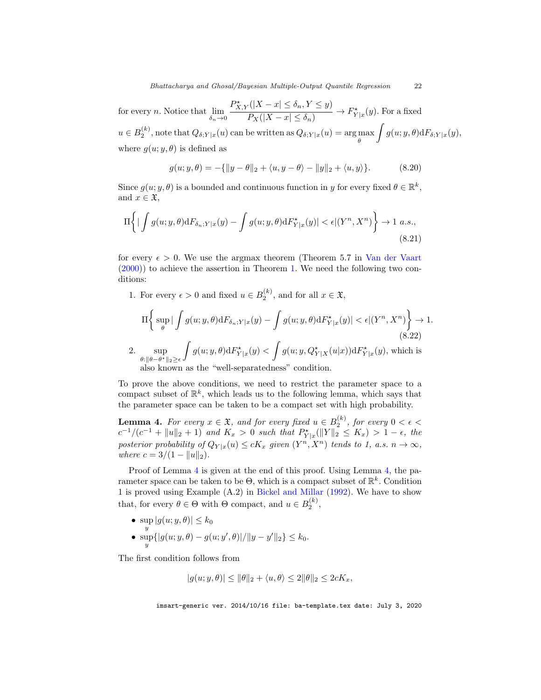<span id="page-21-1"></span>for every *n*. Notice that  $\lim_{\delta_n \to 0}$  $P_{X,Y}^{\star}(|X-x|\leq \delta_n, Y\leq y)$  $\frac{P_X(|X-x| \leq \delta_n, Y \leq y)}{P_X(|X-x| \leq \delta_n)} \to F_{Y|x}^*(y)$ . For a fixed  $u \in B_2^{(k)}$ , note that  $Q_{\delta;Y|x}(u)$  can be written as  $Q_{\delta;Y|x}(u) = \argmax_{\theta}$  $\int g(u; y, \theta) dF_{\delta;Y|x}(y),$ where  $q(u; y, \theta)$  is defined as

$$
g(u; y, \theta) = -\{||y - \theta||_2 + \langle u, y - \theta \rangle - ||y||_2 + \langle u, y \rangle\}.
$$
 (8.20)

Since  $g(u; y, \theta)$  is a bounded and continuous function in y for every fixed  $\theta \in \mathbb{R}^k$ , and  $x \in \mathfrak{X}$ ,

$$
\Pi\bigg\{|\int g(u;y,\theta)\mathrm{d}F_{\delta_n;Y|x}(y) - \int g(u;y,\theta)\mathrm{d}F_{Y|x}^{\star}(y)| < \epsilon |(Y^n,X^n)\bigg\} \to 1 \text{ a.s.},\tag{8.21}
$$

for every  $\epsilon > 0$ . We use the argmax theorem (Theorem 5.7 in [Van der Vaart](#page-27-9) [\(2000\)](#page-27-9)) to achieve the assertion in Theorem [1.](#page-11-0) We need the following two conditions:

1. For every  $\epsilon > 0$  and fixed  $u \in B_2^{(k)}$ , and for all  $x \in \mathfrak{X}$ ,

$$
\Pi\bigg\{\sup_{\theta}\big|\int g(u;y,\theta)\mathrm{d}F_{\delta_n;Y|x}(y)-\int g(u;y,\theta)\mathrm{d}F_{Y|x}^\star(y)\big|<\epsilon|(Y^n,X^n)\bigg\}\to 1. \tag{8.22}
$$
  
2. 
$$
\sup_{\theta:\|\theta-\theta^\star\|_2\geq\epsilon}\int g(u;y,\theta)\mathrm{d}F_{Y|x}^\star(y)<\int g(u;y,Q_{Y|X}^\star(u|x))\mathrm{d}F_{Y|x}^\star(y)\text{, which is also known as the "well-separatedness" condition.}
$$

To prove the above conditions, we need to restrict the parameter space to a compact subset of  $\mathbb{R}^k$ , which leads us to the following lemma, which says that the parameter space can be taken to be a compact set with high probability.

<span id="page-21-0"></span>**Lemma 4.** For every  $x \in \mathfrak{X}$ , and for every fixed  $u \in B_2^{(k)}$ , for every  $0 < \epsilon <$  $c^{-1}/(c^{-1} + ||u||_2 + 1)$  and  $K_x > 0$  such that  $P_{Y|x}^{\star}(||Y||_2 \le K_x) > 1 - \epsilon$ , the posterior probability of  $Q_{Y|x}(u) \leq cK_x$  given  $(Y^n, X^n)$  tends to 1, a.s.  $n \to \infty$ , where  $c = 3/(1 - ||u||_2)$ .

Proof of Lemma [4](#page-21-0) is given at the end of this proof. Using Lemma [4,](#page-21-0) the parameter space can be taken to be  $\Theta$ , which is a compact subset of  $\mathbb{R}^k$ . Condition 1 is proved using Example (A.2) in [Bickel and Millar](#page-26-17) [\(1992\)](#page-26-17). We have to show that, for every  $\theta \in \Theta$  with  $\Theta$  compact, and  $u \in B_2^{(k)}$ ,

• 
$$
\sup_{y} |g(u; y, \theta)| \le k_0
$$
  
\n•  $\sup_{y} { |g(u; y, \theta) - g(u; y', \theta)|} / ||y - y'||_2 } \le k_0$ .

The first condition follows from

$$
|g(u; y, \theta)| \le ||\theta||_2 + \langle u, \theta \rangle \le 2||\theta||_2 \le 2cK_x,
$$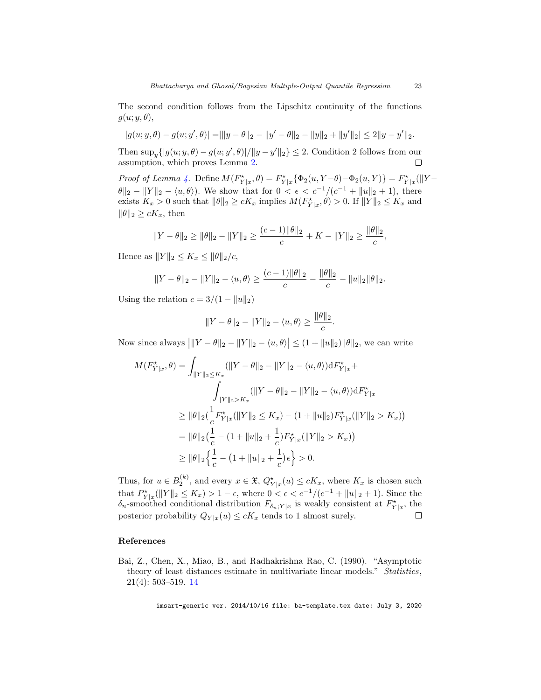The second condition follows from the Lipschitz continuity of the functions  $g(u; y, \theta)$ ,

$$
|g(u; y, \theta) - g(u; y', \theta)| = ||y - \theta||_2 - ||y' - \theta||_2 - ||y||_2 + ||y'||_2| \le 2||y - y'||_2.
$$

Then  $\sup_y \{|g(u; y, \theta) - g(u; y', \theta)|/||y - y'||_2\} \leq 2$ . Condition 2 follows from our assumption, which proves Lemma [2.](#page-12-2)

Proof of Lemma [4.](#page-21-0) Define  $M(F_{Y|x}^*, \theta) = F_{Y|x}^* \{\Phi_2(u, Y-\theta) - \Phi_2(u, Y)\} = F_{Y|x}^* (\|Y-\theta\|_F^* + \|\theta\|_F^* \leq \|\theta\|_F^*$  $\|\theta\|_2 - \|Y\|_2 - \langle u, \theta \rangle$ . We show that for  $0 < \epsilon < c^{-1}/(c^{-1} + \|u\|_2 + 1)$ , there exists  $K_x > 0$  such that  $\|\theta\|_2 \ge cK_x$  implies  $M(F_{Y|x}^*, \theta) > 0$ . If  $\|Y\|_2 \le K_x$  and  $\|\theta\|_2 \geq cK_x$ , then

$$
||Y - \theta||_2 \ge ||\theta||_2 - ||Y||_2 \ge \frac{(c-1)||\theta||_2}{c} + K - ||Y||_2 \ge \frac{||\theta||_2}{c},
$$

Hence as  $||Y||_2 \le K_x \le ||\theta||_2/c$ ,

$$
||Y - \theta||_2 - ||Y||_2 - \langle u, \theta \rangle \ge \frac{(c-1)||\theta||_2}{c} - \frac{||\theta||_2}{c} - ||u||_2 ||\theta||_2.
$$

Using the relation  $c = 3/(1 - ||u||_2)$ 

$$
||Y - \theta||_2 - ||Y||_2 - \langle u, \theta \rangle \ge \frac{||\theta||_2}{c}.
$$

Now since always  $|||Y - \theta||_2 - ||Y||_2 - \langle u, \theta \rangle \le (1 + ||u||_2) ||\theta||_2$ , we can write

$$
M(F_{Y|x}^{\star}, \theta) = \int_{\|Y\|_2 \le K_x} (\|Y - \theta\|_2 - \|Y\|_2 - \langle u, \theta \rangle) dF_{Y|x}^{\star} +
$$
  

$$
\int_{\|Y\|_2 > K_x} (\|Y - \theta\|_2 - \|Y\|_2 - \langle u, \theta \rangle) dF_{Y|x}^{\star}
$$
  

$$
\ge \|\theta\|_2 (\frac{1}{c} F_{Y|x}^{\star}(\|Y\|_2 \le K_x) - (1 + \|u\|_2) F_{Y|x}^{\star}(\|Y\|_2 > K_x))
$$
  

$$
= \|\theta\|_2 (\frac{1}{c} - (1 + \|u\|_2 + \frac{1}{c}) F_{Y|x}^{\star}(\|Y\|_2 > K_x))
$$
  

$$
\ge \|\theta\|_2 \left\{ \frac{1}{c} - (1 + \|u\|_2 + \frac{1}{c}) \epsilon \right\} > 0.
$$

Thus, for  $u \in B_2^{(k)}$ , and every  $x \in \mathfrak{X}$ ,  $Q_{Y|x}^{\star}(u) \le cK_x$ , where  $K_x$  is chosen such that  $P_{Y|x}^{\star}(\|Y\|_2 \leq K_x) > 1 - \epsilon$ , where  $0 < \epsilon < c^{-1}/(c^{-1} + \|u\|_2 + 1)$ . Since the  $\delta_n$ -smoothed conditional distribution  $F_{\delta_n;Y|x}$  is weakly consistent at  $F_{Y|x}^{\star}$ , the posterior probability  $Q_{Y|x}(u)\leq cK_x$  tends to 1 almost surely.  $\Box$ 

### References

<span id="page-22-0"></span>Bai, Z., Chen, X., Miao, B., and Radhakrishna Rao, C. (1990). "Asymptotic theory of least distances estimate in multivariate linear models." Statistics, 21(4): 503–519. [14](#page-13-0)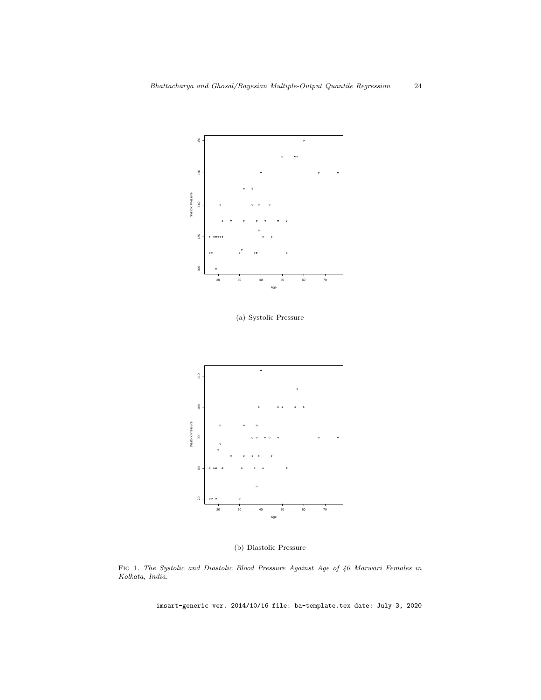

(a) Systolic Pressure



(b) Diastolic Pressure

<span id="page-23-0"></span>Fig 1. The Systolic and Diastolic Blood Pressure Against Age of 40 Marwari Females in Kolkata, India.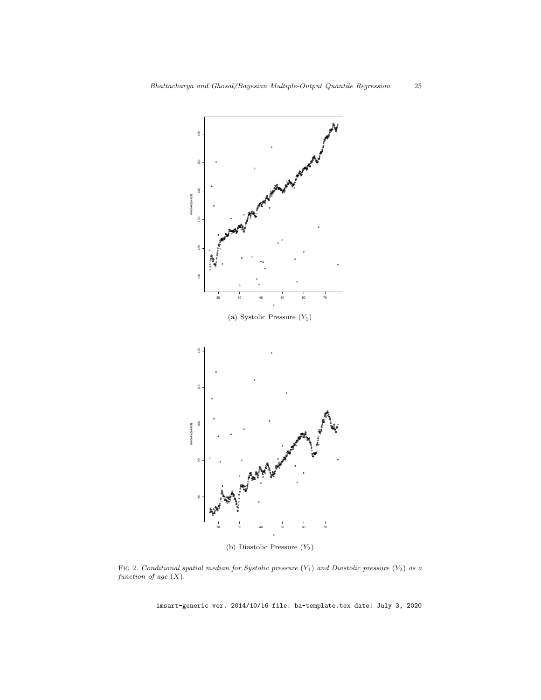

(b) Diastolic Pressure  $(Y_2)$ 

<span id="page-24-0"></span>FIG 2. Conditional spatial median for Systolic pressure  $(Y_1)$  and Diastolic pressure  $(Y_2)$  as a function of age  $(X)$ .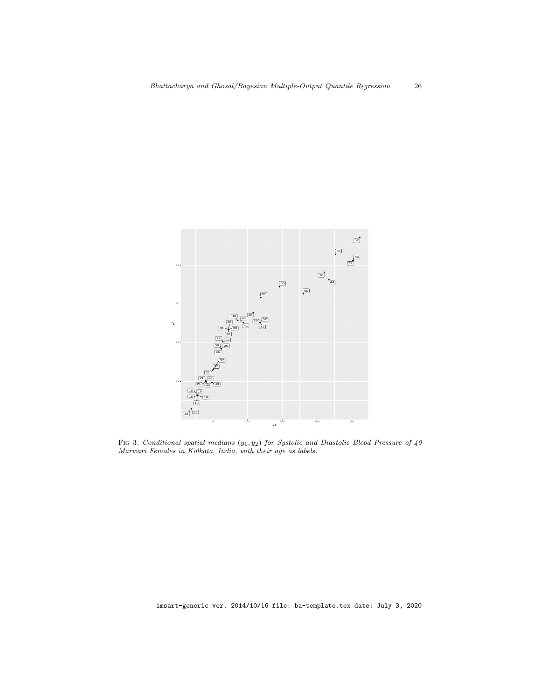

<span id="page-25-0"></span>FIG 3. Conditional spatial medians  $(y_1, y_2)$  for Systolic and Diastolic Blood Pressure of 40 Marwari Females in Kolkata, India, with their age as labels.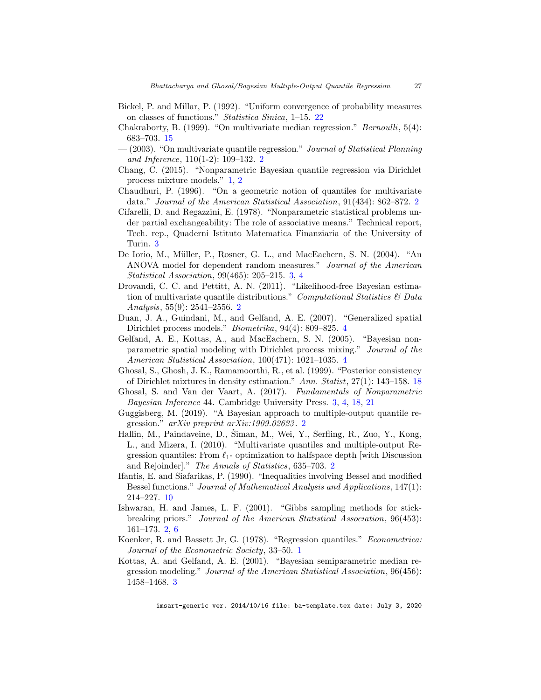- <span id="page-26-17"></span>Bickel, P. and Millar, P. (1992). "Uniform convergence of probability measures on classes of functions." Statistica Sinica, 1–15. [22](#page-21-1)
- <span id="page-26-15"></span>Chakraborty, B. (1999). "On multivariate median regression." Bernoulli, 5(4): 683–703. [15](#page-14-3)
- <span id="page-26-3"></span> $-(2003)$ . "On multivariate quantile regression." *Journal of Statistical Planning* and Inference, 110(1-2): 109–132. [2](#page-1-0)
- <span id="page-26-1"></span>Chang, C. (2015). "Nonparametric Bayesian quantile regression via Dirichlet process mixture models." [1,](#page-0-1) [2](#page-1-0)
- <span id="page-26-2"></span>Chaudhuri, P. (1996). "On a geometric notion of quantiles for multivariate data." Journal of the American Statistical Association, 91(434): 862–872. [2](#page-1-0)
- <span id="page-26-8"></span>Cifarelli, D. and Regazzini, E. (1978). "Nonparametric statistical problems under partial exchangeability: The role of associative means." Technical report, Tech. rep., Quaderni Istituto Matematica Finanziaria of the University of Turin. [3](#page-2-1)
- <span id="page-26-10"></span>De Iorio, M., Müller, P., Rosner, G. L., and MacEachern, S. N. (2004). "An ANOVA model for dependent random measures." Journal of the American Statistical Association, 99(465): 205–215. [3,](#page-2-1) [4](#page-3-1)
- <span id="page-26-5"></span>Drovandi, C. C. and Pettitt, A. N. (2011). "Likelihood-free Bayesian estimation of multivariate quantile distributions." Computational Statistics  $\mathcal E$  Data Analysis, 55(9): 2541–2556. [2](#page-1-0)
- <span id="page-26-13"></span>Duan, J. A., Guindani, M., and Gelfand, A. E. (2007). "Generalized spatial Dirichlet process models." Biometrika, 94(4): 809–825. [4](#page-3-1)
- <span id="page-26-12"></span>Gelfand, A. E., Kottas, A., and MacEachern, S. N. (2005). "Bayesian nonparametric spatial modeling with Dirichlet process mixing." Journal of the American Statistical Association, 100(471): 1021–1035. [4](#page-3-1)
- <span id="page-26-16"></span>Ghosal, S., Ghosh, J. K., Ramamoorthi, R., et al. (1999). "Posterior consistency of Dirichlet mixtures in density estimation." Ann. Statist, 27(1): 143–158. [18](#page-17-2)
- <span id="page-26-11"></span>Ghosal, S. and Van der Vaart, A. (2017). Fundamentals of Nonparametric Bayesian Inference 44. Cambridge University Press. [3,](#page-2-1) [4,](#page-3-1) [18,](#page-17-2) [21](#page-20-1)
- <span id="page-26-6"></span>Guggisberg, M. (2019). "A Bayesian approach to multiple-output quantile regression." arXiv preprint arXiv:1909.02623 . [2](#page-1-0)
- <span id="page-26-4"></span>Hallin, M., Paindaveine, D., Šiman, M., Wei, Y., Serfling, R., Zuo, Y., Kong, L., and Mizera, I. (2010). "Multivariate quantiles and multiple-output Regression quantiles: From  $\ell_1$ - optimization to halfspace depth [with Discussion] and Rejoinder]." The Annals of Statistics, 635–703. [2](#page-1-0)
- <span id="page-26-14"></span>Ifantis, E. and Siafarikas, P. (1990). "Inequalities involving Bessel and modified Bessel functions." Journal of Mathematical Analysis and Applications, 147(1): 214–227. [10](#page-9-3)
- <span id="page-26-7"></span>Ishwaran, H. and James, L. F. (2001). "Gibbs sampling methods for stickbreaking priors." Journal of the American Statistical Association, 96(453): 161–173. [2,](#page-1-0) [6](#page-5-1)
- <span id="page-26-0"></span>Koenker, R. and Bassett Jr, G. (1978). "Regression quantiles." Econometrica: Journal of the Econometric Society, 33–50. [1](#page-0-1)
- <span id="page-26-9"></span>Kottas, A. and Gelfand, A. E. (2001). "Bayesian semiparametric median regression modeling." Journal of the American Statistical Association, 96(456): 1458–1468. [3](#page-2-1)